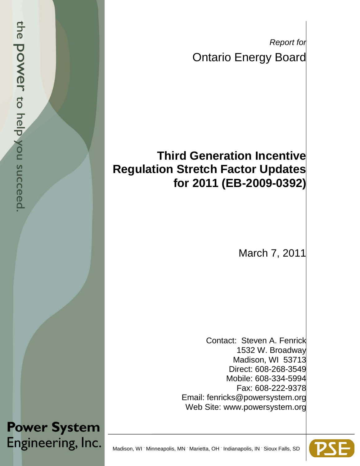*Report for* Ontario Energy Board

# **Third Generation Incentive Regulation Stretch Factor Updates for 2011 (EB-2009-0392)**

March 7, 2011

Contact: Steven A. Fenrick 1532 W. Broadway Madison, WI 53713 Direct: 608-268-3549 Mobile: 608-334-5994 Fax: 608-222-9378 Email: fenricks@powersystem.org Web Site: www.powersystem.org



Engineering, Inc. Madison, WI Minneapolis, MN Marietta, OH Indianapolis, IN Sioux Falls, SD

**Power System**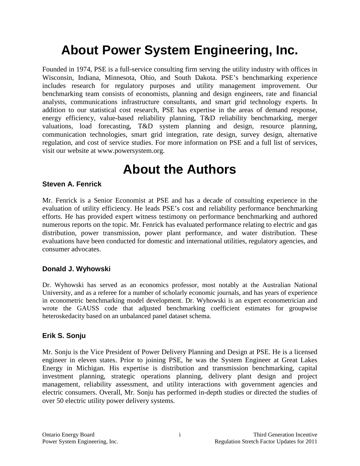# **About Power System Engineering, Inc.**

Founded in 1974, PSE is a full-service consulting firm serving the utility industry with offices in Wisconsin, Indiana, Minnesota, Ohio, and South Dakota. PSE's benchmarking experience includes research for regulatory purposes and utility management improvement. Our benchmarking team consists of economists, planning and design engineers, rate and financial analysts, communications infrastructure consultants, and smart grid technology experts. In addition to our statistical cost research, PSE has expertise in the areas of demand response, energy efficiency, value-based reliability planning, T&D reliability benchmarking, merger valuations, load forecasting, T&D system planning and design, resource planning, communication technologies, smart grid integration, rate design, survey design, alternative regulation, and cost of service studies. For more information on PSE and a full list of services, visit our website at www.powersystem.org.

# **About the Authors**

### **Steven A. Fenrick**

Mr. Fenrick is a Senior Economist at PSE and has a decade of consulting experience in the evaluation of utility efficiency. He leads PSE's cost and reliability performance benchmarking efforts. He has provided expert witness testimony on performance benchmarking and authored numerous reports on the topic. Mr. Fenrick has evaluated performance relating to electric and gas distribution, power transmission, power plant performance, and water distribution. These evaluations have been conducted for domestic and international utilities, regulatory agencies, and consumer advocates.

#### **Donald J. Wyhowski**

Dr. Wyhowski has served as an economics professor, most notably at the Australian National University, and as a referee for a number of scholarly economic journals, and has years of experience in econometric benchmarking model development. Dr. Wyhowski is an expert econometrician and wrote the GAUSS code that adjusted benchmarking coefficient estimates for groupwise heteroskedacity based on an unbalanced panel dataset schema.

#### **Erik S. Sonju**

Mr. Sonju is the Vice President of Power Delivery Planning and Design at PSE. He is a licensed engineer in eleven states. Prior to joining PSE, he was the System Engineer at Great Lakes Energy in Michigan. His expertise is distribution and transmission benchmarking, capital investment planning, strategic operations planning, delivery plant design and project management, reliability assessment, and utility interactions with government agencies and electric consumers. Overall, Mr. Sonju has performed in-depth studies or directed the studies of over 50 electric utility power delivery systems.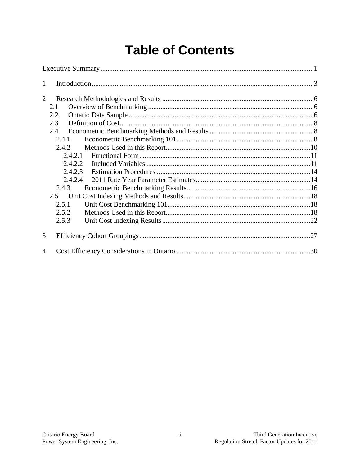# **Table of Contents**

| 1              |       |         |  |
|----------------|-------|---------|--|
| $\overline{2}$ |       |         |  |
|                | 2.1   |         |  |
|                | 2.2   |         |  |
|                | 2.3   |         |  |
|                | 2.4   |         |  |
|                | 2.4.1 |         |  |
|                |       | 2.4.2   |  |
|                |       | 2.4.2.1 |  |
|                |       | 2.4.2.2 |  |
|                |       | 2.4.2.3 |  |
|                |       | 2.4.2.4 |  |
|                | 2.4.3 |         |  |
|                | 2.5   |         |  |
|                | 2.5.1 |         |  |
|                | 2.5.2 |         |  |
|                | 2.5.3 |         |  |
| 3              |       |         |  |
| $\overline{A}$ |       |         |  |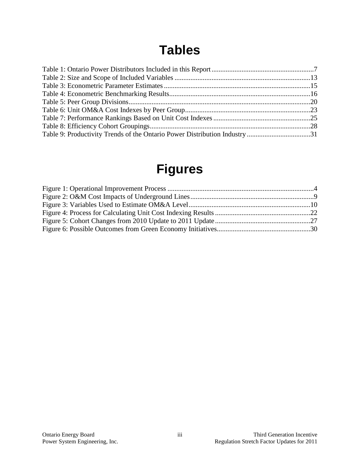# **Tables**

| Table 9: Productivity Trends of the Ontario Power Distribution Industry 31 |  |
|----------------------------------------------------------------------------|--|

# **Figures**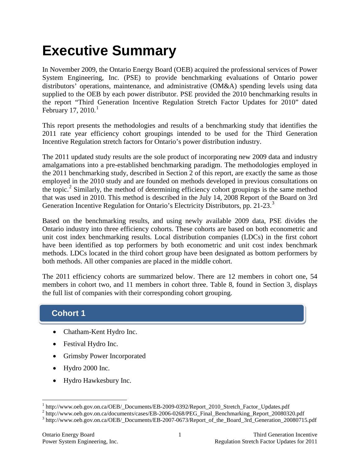# <span id="page-4-0"></span>**Executive Summary**

In November 2009, the Ontario Energy Board (OEB) acquired the professional services of Power System Engineering, Inc. (PSE) to provide benchmarking evaluations of Ontario power distributors' operations, maintenance, and administrative (OM&A) spending levels using data supplied to the OEB by each power distributor. PSE provided the 2010 benchmarking results in the report "Third Generation Incentive Regulation Stretch Factor Updates for 2010" dated February [1](#page-4-1)7, 2010. $^1$ 

This report presents the methodologies and results of a benchmarking study that identifies the 2011 rate year efficiency cohort groupings intended to be used for the Third Generation Incentive Regulation stretch factors for Ontario's power distribution industry.

The 2011 updated study results are the sole product of incorporating new 2009 data and industry amalgamations into a pre-established benchmarking paradigm. The methodologies employed in the 2011 benchmarking study, described in Section 2 of this report, are exactly the same as those employed in the 2010 study and are founded on methods developed in previous consultations on the topic.<sup>[2](#page-4-2)</sup> Similarly, the method of determining efficiency cohort groupings is the same method that was used in 2010. This method is described in the July 14, 2008 Report of the Board on 3rd Generation Incentive Regulation for Ontario's Electricity Distributors, pp. 21-2[3](#page-4-3).<sup>3</sup>

Based on the benchmarking results, and using newly available 2009 data, PSE divides the Ontario industry into three efficiency cohorts. These cohorts are based on both econometric and unit cost index benchmarking results. Local distribution companies (LDCs) in the first cohort have been identified as top performers by both econometric and unit cost index benchmark methods. LDCs located in the third cohort group have been designated as bottom performers by both methods. All other companies are placed in the middle cohort.

The 2011 efficiency cohorts are summarized below. There are 12 members in cohort one, 54 members in cohort two, and 11 members in cohort three. Table 8, found in Section 3, displays the full list of companies with their corresponding cohort grouping.

## **Cohort 1**

- Chatham-Kent Hydro Inc.
- Festival Hydro Inc.
- Grimsby Power Incorporated
- Hydro 2000 Inc.
- Hydro Hawkesbury Inc.

<span id="page-4-2"></span><span id="page-4-1"></span> $^1$  http://www.oeb.gov.on.ca/OEB/\_Documents/EB-2009-0392/Report\_2010\_Stretch\_Factor\_Updates.pdf<br>  $^2$  http://www.oeb.gov.on.ca/documents/cases/EB-2006-0268/PEG\_Final\_Benchmarking\_Report\_20080320.pdf<br>  $^3$  http://www.oeb.

<span id="page-4-3"></span>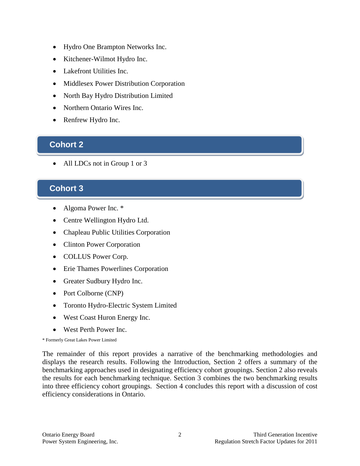- Hydro One Brampton Networks Inc.
- Kitchener-Wilmot Hydro Inc.
- Lakefront Utilities Inc.
- Middlesex Power Distribution Corporation
- North Bay Hydro Distribution Limited
- Northern Ontario Wires Inc.
- Renfrew Hydro Inc.

## **Cohort 2 Cohort 2**

All LDCs not in Group 1 or 3

### **Cohort 3**

- Algoma Power Inc. \*
- Centre Wellington Hydro Ltd.
- Chapleau Public Utilities Corporation
- Clinton Power Corporation
- COLLUS Power Corp.
- Erie Thames Powerlines Corporation
- Greater Sudbury Hydro Inc.
- Port Colborne (CNP)
- Toronto Hydro-Electric System Limited
- West Coast Huron Energy Inc.
- West Perth Power Inc.

\* Formerly Great Lakes Power Limited

The remainder of this report provides a narrative of the benchmarking methodologies and displays the research results. Following the Introduction, Section 2 offers a summary of the benchmarking approaches used in designating efficiency cohort groupings. Section 2 also reveals the results for each benchmarking technique. Section 3 combines the two benchmarking results into three efficiency cohort groupings. Section 4 concludes this report with a discussion of cost efficiency considerations in Ontario.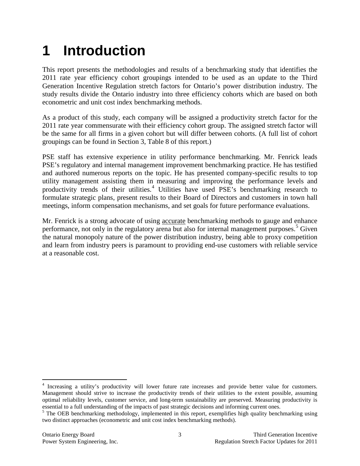# <span id="page-6-0"></span>**1 Introduction**

This report presents the methodologies and results of a benchmarking study that identifies the 2011 rate year efficiency cohort groupings intended to be used as an update to the Third Generation Incentive Regulation stretch factors for Ontario's power distribution industry. The study results divide the Ontario industry into three efficiency cohorts which are based on both econometric and unit cost index benchmarking methods.

As a product of this study, each company will be assigned a productivity stretch factor for the 2011 rate year commensurate with their efficiency cohort group. The assigned stretch factor will be the same for all firms in a given cohort but will differ between cohorts. (A full list of cohort groupings can be found in Section 3, Table 8 of this report.)

PSE staff has extensive experience in utility performance benchmarking. Mr. Fenrick leads PSE's regulatory and internal management improvement benchmarking practice. He has testified and authored numerous reports on the topic. He has presented company-specific results to top utility management assisting them in measuring and improving the performance levels and productivity trends of their utilities.<sup>[4](#page-6-1)</sup> Utilities have used PSE's benchmarking research to formulate strategic plans, present results to their Board of Directors and customers in town hall meetings, inform compensation mechanisms, and set goals for future performance evaluations.

Mr. Fenrick is a strong advocate of using **accurate** benchmarking methods to gauge and enhance performance, not only in the regulatory arena but also for internal management purposes.<sup>[5](#page-6-2)</sup> Given the natural monopoly nature of the power distribution industry, being able to proxy competition and learn from industry peers is paramount to providing end-use customers with reliable service at a reasonable cost.

<span id="page-6-1"></span> <sup>4</sup> Increasing a utility's productivity will lower future rate increases and provide better value for customers. Management should strive to increase the productivity trends of their utilities to the extent possible, assuming optimal reliability levels, customer service, and long-term sustainability are preserved. Measuring productivity is essential to a full understanding of the impacts of past strategic decisions and informing current ones.

<span id="page-6-2"></span> $<sup>5</sup>$  The OEB benchmarking methodology, implemented in this report, exemplifies high quality benchmarking using</sup> two distinct approaches (econometric and unit cost index benchmarking methods).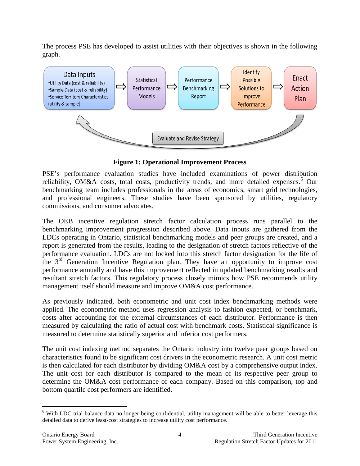The process PSE has developed to assist utilities with their objectives is shown in the following graph.



**Figure 1: Operational Improvement Process**

<span id="page-7-0"></span>PSE's performance evaluation studies have included examinations of power distribution reliability, OM&A costs, total costs, productivity trends, and more detailed expenses.<sup>[6](#page-7-1)</sup> Our benchmarking team includes professionals in the areas of economics, smart grid technologies, and professional engineers. These studies have been sponsored by utilities, regulatory commissions, and consumer advocates.

The OEB incentive regulation stretch factor calculation process runs parallel to the benchmarking improvement progression described above. Data inputs are gathered from the LDCs operating in Ontario, statistical benchmarking models and peer groups are created, and a report is generated from the results, leading to the designation of stretch factors reflective of the performance evaluation. LDCs are not locked into this stretch factor designation for the life of the  $3<sup>rd</sup>$  Generation Incentive Regulation plan. They have an opportunity to improve cost performance annually and have this improvement reflected in updated benchmarking results and resultant stretch factors. This regulatory process closely mimics how PSE recommends utility management itself should measure and improve OM&A cost performance.

As previously indicated, both econometric and unit cost index benchmarking methods were applied. The econometric method uses regression analysis to fashion expected, or benchmark, costs after accounting for the external circumstances of each distributor. Performance is then measured by calculating the ratio of actual cost with benchmark costs. Statistical significance is measured to determine statistically superior and inferior cost performers.

The unit cost indexing method separates the Ontario industry into twelve peer groups based on characteristics found to be significant cost drivers in the econometric research. A unit cost metric is then calculated for each distributor by dividing OM&A cost by a comprehensive output index. The unit cost for each distributor is compared to the mean of its respective peer group to determine the OM&A cost performance of each company. Based on this comparison, top and bottom quartile cost performers are identified.

<span id="page-7-1"></span><sup>&</sup>lt;sup>6</sup> With LDC trial balance data no longer being confidential, utility management will be able to better leverage this detailed data to derive least-cost strategies to increase utility cost performance.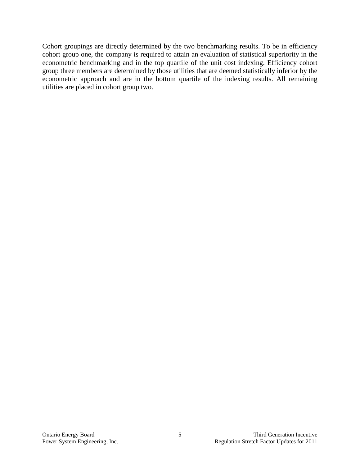Cohort groupings are directly determined by the two benchmarking results. To be in efficiency cohort group one, the company is required to attain an evaluation of statistical superiority in the econometric benchmarking and in the top quartile of the unit cost indexing. Efficiency cohort group three members are determined by those utilities that are deemed statistically inferior by the econometric approach and are in the bottom quartile of the indexing results. All remaining utilities are placed in cohort group two.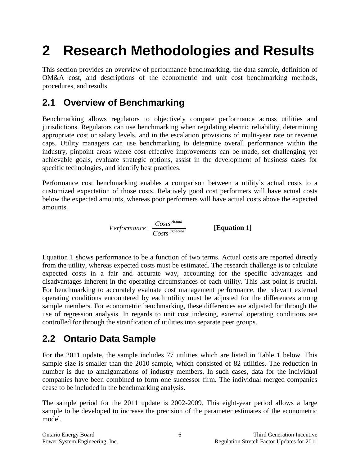# <span id="page-9-0"></span>**2 Research Methodologies and Results**

This section provides an overview of performance benchmarking, the data sample, definition of OM&A cost, and descriptions of the econometric and unit cost benchmarking methods, procedures, and results.

## <span id="page-9-1"></span>**2.1 Overview of Benchmarking**

Benchmarking allows regulators to objectively compare performance across utilities and jurisdictions. Regulators can use benchmarking when regulating electric reliability, determining appropriate cost or salary levels, and in the escalation provisions of multi-year rate or revenue caps. Utility managers can use benchmarking to determine overall performance within the industry, pinpoint areas where cost effective improvements can be made, set challenging yet achievable goals, evaluate strategic options, assist in the development of business cases for specific technologies, and identify best practices.

Performance cost benchmarking enables a comparison between a utility's actual costs to a customized expectation of those costs. Relatively good cost performers will have actual costs below the expected amounts, whereas poor performers will have actual costs above the expected amounts.

$$
Performance = \frac{Costs^{Actual}}{Costs^{Expected}}
$$
 [Equation 1]

Equation 1 shows performance to be a function of two terms. Actual costs are reported directly from the utility, whereas expected costs must be estimated. The research challenge is to calculate expected costs in a fair and accurate way, accounting for the specific advantages and disadvantages inherent in the operating circumstances of each utility. This last point is crucial. For benchmarking to accurately evaluate cost management performance, the relevant external operating conditions encountered by each utility must be adjusted for the differences among sample members. For econometric benchmarking, these differences are adjusted for through the use of regression analysis. In regards to unit cost indexing, external operating conditions are controlled for through the stratification of utilities into separate peer groups.

## <span id="page-9-2"></span>**2.2 Ontario Data Sample**

For the 2011 update, the sample includes 77 utilities which are listed in Table 1 below. This sample size is smaller than the 2010 sample, which consisted of 82 utilities. The reduction in number is due to amalgamations of industry members. In such cases, data for the individual companies have been combined to form one successor firm. The individual merged companies cease to be included in the benchmarking analysis.

The sample period for the 2011 update is 2002-2009. This eight-year period allows a large sample to be developed to increase the precision of the parameter estimates of the econometric model.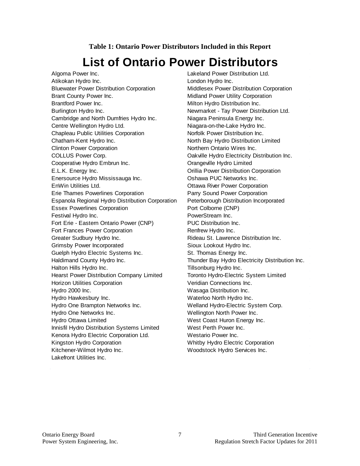#### **Table 1: Ontario Power Distributors Included in this Report**

# **List of Ontario Power Distributors**

<span id="page-10-0"></span>Algoma Power Inc. Lakeland Power Distribution Ltd. Atikokan Hydro Inc. **London Hydro Inc.** Bluewater Power Distribution Corporation Middlesex Power Distribution Corporation Brant County Power Inc. **Example 20 and Server County Power Utility Corporation** Brantford Power Inc. The Contract of Milton Hydro Distribution Inc. Burlington Hydro Inc. **Newmarket - Tay Power Distribution Ltd.** Newmarket - Tay Power Distribution Ltd. Cambridge and North Dumfries Hydro Inc. Niagara Peninsula Energy Inc. Centre Wellington Hydro Ltd. Niagara-on-the-Lake Hydro Inc. Chapleau Public Utilities Corporation Norfolk Power Distribution Inc. Chatham-Kent Hydro Inc. North Bay Hydro Distribution Limited Clinton Power Corporation **Northern Ontario Wires Inc.** COLLUS Power Corp. **COLLUS Power Corp. COLLUS Power Corp.** Oakville Hydro Electricity Distribution Inc. Cooperative Hydro Embrun Inc. **Cooperative Hydro Embrun Inc.** Orangeville Hydro Limited E.L.K. Energy Inc. Orillia Power Distribution Corporation Enersource Hydro Mississauga Inc. Oshawa PUC Networks Inc. EnWin Utilities Ltd. **Communist Contains Constructed Contains Construction** Construction Communist Communist Communist Communist Communist Communist Communist Communist Communist Communist Communist Communist Communist Com Erie Thames Powerlines Corporation Parry Sound Power Corporation Espanola Regional Hydro Distribution Corporation Peterborough Distribution Incorporated Essex Powerlines Corporation **Port Colborne (CNP)** Festival Hydro Inc. **PowerStream Inc.** PowerStream Inc. Fort Erie - Eastern Ontario Power (CNP) PUC Distribution Inc. Fort Frances Power Corporation **Renfrew Hydro Inc.** Greater Sudbury Hydro Inc. The Rideau St. Lawrence Distribution Inc. Grimsby Power Incorporated Sioux Lookout Hydro Inc. Guelph Hydro Electric Systems Inc. St. Thomas Energy Inc. Haldimand County Hydro Inc. Thunder Bay Hydro Electricity Distribution Inc. Halton Hills Hydro Inc. **Tillsonburg Hydro Inc.** Hearst Power Distribution Company Limited Toronto Hydro-Electric System Limited Horizon Utilities Corporation **Veridian Connections** Inc. Hydro 2000 Inc. Wasaga Distribution Inc. Hydro Hawkesbury Inc. The Control of Materloo North Hydro Inc. Hydro One Brampton Networks Inc. Welland Hydro-Electric System Corp. Hydro One Networks Inc. Wellington North Power Inc. Hydro Ottawa Limited West Coast Huron Energy Inc. Innisfil Hydro Distribution Systems Limited West Perth Power Inc. Kenora Hydro Electric Corporation Ltd. Westario Power Inc. Kingston Hydro Corporation Whitby Hydro Electric Corporation Kitchener-Wilmot Hydro Inc. The Moodstock Hydro Services Inc. Lakefront Utilities Inc.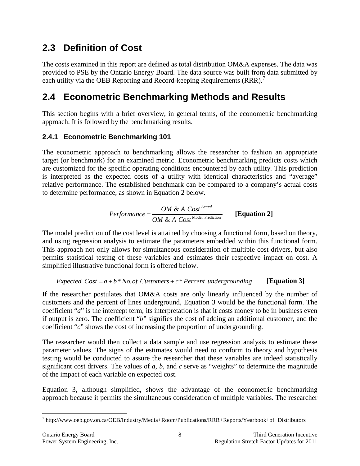## <span id="page-11-0"></span>**2.3 Definition of Cost**

The costs examined in this report are defined as total distribution OM&A expenses. The data was provided to PSE by the Ontario Energy Board. The data source was built from data submitted by each utility via the OEB Reporting and Record-keeping Requirements (RRR).<sup>[7](#page-11-3)</sup>

## <span id="page-11-1"></span>**2.4 Econometric Benchmarking Methods and Results**

This section begins with a brief overview, in general terms, of the econometric benchmarking approach. It is followed by the benchmarking results.

### <span id="page-11-2"></span>**2.4.1 Econometric Benchmarking 101**

The econometric approach to benchmarking allows the researcher to fashion an appropriate target (or benchmark) for an examined metric. Econometric benchmarking predicts costs which are customized for the specific operating conditions encountered by each utility. This prediction is interpreted as the expected costs of a utility with identical characteristics and "average" relative performance. The established benchmark can be compared to a company's actual costs to determine performance, as shown in Equation 2 below.

*Performance* = 
$$
\frac{OM & A \text{ Cost}^{Actual}}{OM & A \text{ Cost}^{Model \text{ Prediction}}}
$$
 [Equation 2]

The model prediction of the cost level is attained by choosing a functional form, based on theory, and using regression analysis to estimate the parameters embedded within this functional form. This approach not only allows for simultaneous consideration of multiple cost drivers, but also permits statistical testing of these variables and estimates their respective impact on cost. A simplified illustrative functional form is offered below.

### *Expected*  $Cost = a + b * No. of Customers + c * Percent underlying$

If the researcher postulates that OM&A costs are only linearly influenced by the number of customers and the percent of lines underground, Equation 3 would be the functional form. The coefficient "*a*" is the intercept term; its interpretation is that it costs money to be in business even if output is zero. The coefficient "*b*" signifies the cost of adding an additional customer, and the coefficient "*c*" shows the cost of increasing the proportion of undergrounding.

The researcher would then collect a data sample and use regression analysis to estimate these parameter values. The signs of the estimates would need to conform to theory and hypothesis testing would be conducted to assure the researcher that these variables are indeed statistically significant cost drivers. The values of *a*, *b*, and *c* serve as "weights" to determine the magnitude of the impact of each variable on expected cost.

Equation 3, although simplified, shows the advantage of the econometric benchmarking approach because it permits the simultaneous consideration of multiple variables. The researcher

<span id="page-11-3"></span> <sup>7</sup> http://www.oeb.gov.on.ca/OEB/Industry/Media+Room/Publications/RRR+Reports/Yearbook+of+Distributors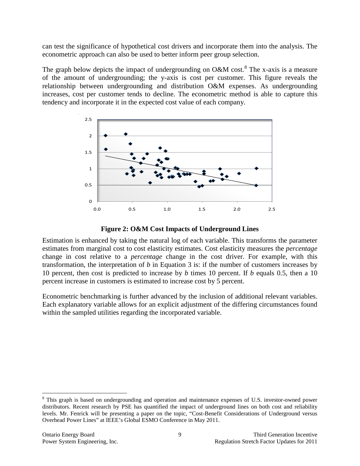can test the significance of hypothetical cost drivers and incorporate them into the analysis. The econometric approach can also be used to better inform peer group selection.

The graph below depicts the impact of undergrounding on O&M cost.<sup>[8](#page-12-1)</sup> The x-axis is a measure of the amount of undergrounding; the y-axis is cost per customer. This figure reveals the relationship between undergrounding and distribution O&M expenses. As undergrounding increases, cost per customer tends to decline. The econometric method is able to capture this tendency and incorporate it in the expected cost value of each company.



#### **Figure 2: O&M Cost Impacts of Underground Lines**

<span id="page-12-0"></span>Estimation is enhanced by taking the natural log of each variable. This transforms the parameter estimates from marginal cost to cost elasticity estimates. Cost elasticity measures the *percentage* change in cost relative to a *percentage* change in the cost driver. For example, with this transformation, the interpretation of *b* in Equation 3 is: if the number of customers increases by 10 percent, then cost is predicted to increase by *b* times 10 percent. If *b* equals 0.5, then a 10 percent increase in customers is estimated to increase cost by 5 percent.

Econometric benchmarking is further advanced by the inclusion of additional relevant variables. Each explanatory variable allows for an explicit adjustment of the differing circumstances found within the sampled utilities regarding the incorporated variable.

<span id="page-12-1"></span><sup>&</sup>lt;sup>8</sup> This graph is based on undergrounding and operation and maintenance expenses of U.S. investor-owned power distributors. Recent research by PSE has quantified the impact of underground lines on both cost and reliability levels. Mr. Fenrick will be presenting a paper on the topic, "Cost-Benefit Considerations of Underground versus Overhead Power Lines" at IEEE's Global ESMO Conference in May 2011.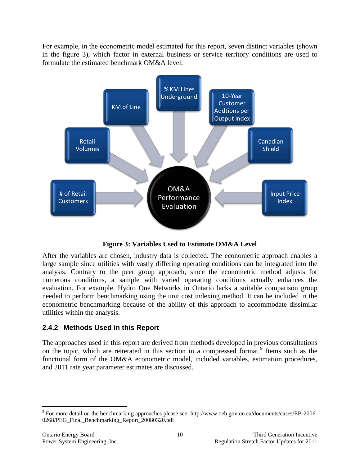For example, in the econometric model estimated for this report, seven distinct variables (shown in the figure 3), which factor in external business or service territory conditions are used to formulate the estimated benchmark OM&A level.



**Figure 3: Variables Used to Estimate OM&A Level**

<span id="page-13-1"></span>After the variables are chosen, industry data is collected. The econometric approach enables a large sample since utilities with vastly differing operating conditions can be integrated into the analysis. Contrary to the peer group approach, since the econometric method adjusts for numerous conditions, a sample with varied operating conditions actually enhances the evaluation. For example, Hydro One Networks in Ontario lacks a suitable comparison group needed to perform benchmarking using the unit cost indexing method. It can be included in the econometric benchmarking because of the ability of this approach to accommodate dissimilar utilities within the analysis.

### <span id="page-13-0"></span>**2.4.2 Methods Used in this Report**

The approaches used in this report are derived from methods developed in previous consultations on the topic, which are reiterated in this section in a compressed format.<sup>[9](#page-13-2)</sup> Items such as the functional form of the OM&A econometric model, included variables, estimation procedures, and 2011 rate year parameter estimates are discussed.

<span id="page-13-2"></span> <sup>9</sup> For more detail on the benchmarking approaches please see: http://www.oeb.gov.on.ca/documents/cases/EB-2006- 0268/PEG\_Final\_Benchmarking\_Report\_20080320.pdf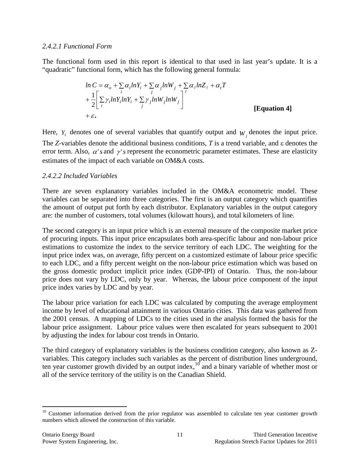#### <span id="page-14-0"></span>*2.4.2.1 Functional Form*

The functional form used in this report is identical to that used in last year's update. It is a "quadratic" functional form, which has the following general formula:

$$
\ln C = \alpha_o + \sum_i \alpha_i \ln Y_i + \sum_j \alpha_j \ln W_j + \sum_l \alpha_l \ln Z_l + \alpha_i T
$$
  
+ 
$$
\frac{1}{2} \Biggl[ \sum_i \gamma_i \ln Y_i \ln Y_i + \sum_j \gamma_j \ln W_j \ln W_j \Biggr]^{\ell}
$$
  
+ 
$$
\epsilon.
$$
 [Equation 4]

Here,  $Y_i$  denotes one of several variables that quantify output and  $W_j$  denotes the input price. error term. Also,  $\alpha$ '*s* and  $\gamma$ '*s* represent the econometric parameter estimates. These are elasticity The *Z*-variables denote the additional business conditions, *T* is a trend variable, and ε denotes the estimates of the impact of each variable on OM&A costs.

#### <span id="page-14-1"></span>*2.4.2.2 Included Variables*

There are seven explanatory variables included in the OM&A econometric model. These variables can be separated into three categories. The first is an output category which quantifies the amount of output put forth by each distributor. Explanatory variables in the output category are: the number of customers, total volumes (kilowatt hours), and total kilometers of line.

The second category is an input price which is an external measure of the composite market price of procuring inputs. This input price encapsulates both area-specific labour and non-labour price estimations to customize the index to the service territory of each LDC. The weighting for the input price index was, on average, fifty percent on a customized estimate of labour price specific to each LDC, and a fifty percent weight on the non-labour price estimation which was based on the gross domestic product implicit price index (GDP-IPI) of Ontario. Thus, the non-labour price does not vary by LDC, only by year. Whereas, the labour price component of the input price index varies by LDC and by year.

The labour price variation for each LDC was calculated by computing the average employment income by level of educational attainment in various Ontario cities. This data was gathered from the 2001 census. A mapping of LDCs to the cities used in the analysis formed the basis for the labour price assignment. Labour price values were then escalated for years subsequent to 2001 by adjusting the index for labour cost trends in Ontario.

The third category of explanatory variables is the business condition category, also known as Zvariables. This category includes such variables as the percent of distribution lines underground, ten year customer growth divided by an output index,  $10^{\circ}$  $10^{\circ}$  and a binary variable of whether most or all of the service territory of the utility is on the Canadian Shield.

<span id="page-14-2"></span><sup>&</sup>lt;sup>10</sup> Customer information derived from the prior regulator was assembled to calculate ten year customer growth numbers which allowed the construction of this variable.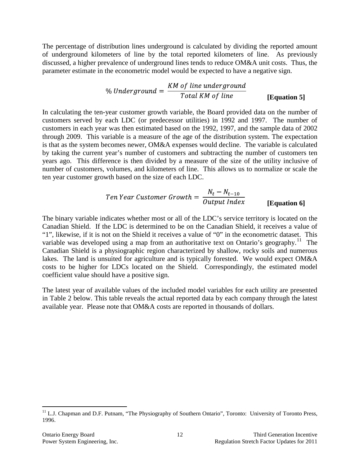The percentage of distribution lines underground is calculated by dividing the reported amount of underground kilometers of line by the total reported kilometers of line. As previously discussed, a higher prevalence of underground lines tends to reduce OM&A unit costs. Thus, the parameter estimate in the econometric model would be expected to have a negative sign.

**[Equation 5]**

In calculating the ten-year customer growth variable, the Board provided data on the number of customers served by each LDC (or predecessor utilities) in 1992 and 1997. The number of customers in each year was then estimated based on the 1992, 1997, and the sample data of 2002 through 2009. This variable is a measure of the age of the distribution system. The expectation is that as the system becomes newer, OM&A expenses would decline. The variable is calculated by taking the current year's number of customers and subtracting the number of customers ten years ago. This difference is then divided by a measure of the size of the utility inclusive of number of customers, volumes, and kilometers of line. This allows us to normalize or scale the ten year customer growth based on the size of each LDC.

*Ten Year Customer Growth* = 
$$
\frac{N_t - N_{t-10}}{Output \ Index}
$$
 [Equation 6]

The binary variable indicates whether most or all of the LDC's service territory is located on the Canadian Shield. If the LDC is determined to be on the Canadian Shield, it receives a value of "1", likewise, if it is not on the Shield it receives a value of "0" in the econometric dataset. This variable was developed using a map from an authoritative text on Ontario's geography.<sup>[11](#page-15-0)</sup> The Canadian Shield is a physiographic region characterized by shallow, rocky soils and numerous lakes. The land is unsuited for agriculture and is typically forested. We would expect OM&A costs to be higher for LDCs located on the Shield. Correspondingly, the estimated model coefficient value should have a positive sign.

The latest year of available values of the included model variables for each utility are presented in Table 2 below. This table reveals the actual reported data by each company through the latest available year. Please note that OM&A costs are reported in thousands of dollars.

<span id="page-15-0"></span><sup>&</sup>lt;sup>11</sup> L.J. Chapman and D.F. Putnam, "The Physiography of Southern Ontario", Toronto: University of Toronto Press, 1996.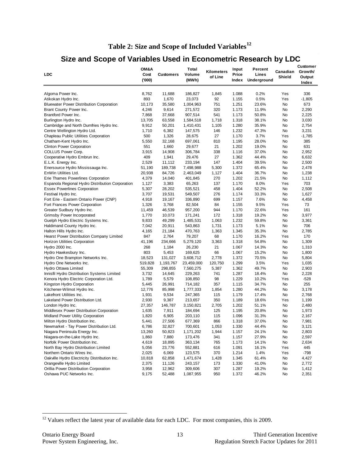### **Table 2: Size and Scope of Included Variables[12](#page-16-1)**

### **Size and Scope of Variables Used in Econometric Research by LDC**

<span id="page-16-0"></span>

| <b>LDC</b>                                                                    | OM&A<br>Cost<br>(000) | Customers        | Total<br>Volume<br>(MWh) | Kilometers<br>of Line | Input<br>Price<br>Index | Percent<br>Lines<br><b>Underground</b> | Canadian<br>Shield | <b>Customer</b><br>Growth/<br>Output<br>Index |  |
|-------------------------------------------------------------------------------|-----------------------|------------------|--------------------------|-----------------------|-------------------------|----------------------------------------|--------------------|-----------------------------------------------|--|
| Algoma Power Inc.                                                             | 8,762                 | 11,688           | 186,827                  | 1,845                 | 1.088                   | 0.2%                                   | Yes                | 336                                           |  |
| Atikokan Hydro Inc.                                                           | 893                   | 1,670            | 23,073                   | 92                    | 1.155                   | 0.5%                                   | Yes                | $-1,805$                                      |  |
| <b>Bluewater Power Distribution Corporation</b>                               | 10,173                | 35,580           | 1,004,963                | 751                   | 1.251                   | 23.6%                                  | No                 | 673                                           |  |
| Brant County Power Inc.                                                       | 4,246                 | 9,614            | 271,572                  | 320                   | 1.173                   | 11.9%                                  | No                 | 2,290                                         |  |
| Brantford Power Inc.                                                          | 7,868                 | 37,668           | 907,514                  | 541                   | 1.173                   | 50.8%                                  | No                 | 2,225                                         |  |
| Burlington Hydro Inc.                                                         | 13,705                | 63,558           | 1,584,518                | 1,718                 | 1.318                   | 38.1%                                  | No                 | 3,030                                         |  |
| Cambridge and North Dumfries Hydro Inc.                                       | 9,912                 | 50,201           | 1,410,431                | 1,105                 | 1.280                   | 35.9%                                  | No                 | 2,754                                         |  |
| Centre Wellington Hydro Ltd.                                                  | 1,710                 | 6,382            | 147,575                  | 146                   | 1.232                   | 47.3%                                  | No                 | 3,231                                         |  |
| Chapleau Public Utilities Corporation                                         | 500                   | 1,326            | 28,675                   | 27                    | 1.170                   | 3.7%                                   | Yes                | $-1,785$                                      |  |
| Chatham-Kent Hydro Inc.                                                       | 5,550                 | 32,168           | 697,061                  | 810                   | 1.195                   | 28.0%                                  | No                 | 385                                           |  |
| <b>Clinton Power Corporation</b>                                              | 551                   | 1,660            | 29,677                   | 21                    | 1.202                   | 19.0%                                  | No                 | 631                                           |  |
| COLLUS Power Corp.                                                            | 3,915                 | 14,908           | 306,784                  | 338                   | 1.116                   | 37.0%                                  | No                 | 2,952                                         |  |
| Cooperative Hydro Embrun Inc.                                                 | 409                   | 1,941            | 29,476                   | 27                    | 1.362                   | 44.4%                                  | No                 | 6,632                                         |  |
| E.L.K. Energy Inc.                                                            | 2,529                 | 11,112           | 233,194                  | 147                   | 1.404                   | 39.5%                                  | No                 | 2,500                                         |  |
|                                                                               |                       |                  |                          |                       | 1.372                   | 65.4%                                  | No                 |                                               |  |
| Enersource Hydro Mississauga Inc.<br>EnWin Utilities Ltd.                     | 51,190                | 189,738          | 7,498,988                | 5,300                 |                         |                                        | No                 | 2,478                                         |  |
|                                                                               | 20,938                | 84,726           | 2,463,049                | 1,127<br>270          | 1.404                   | 36.7%<br>21.5%                         |                    | 1,238                                         |  |
| Erie Thames Powerlines Corporation                                            | 4,379                 | 14,040           | 401,845                  |                       | 1.202                   |                                        | No                 | 1,112                                         |  |
| Espanola Regional Hydro Distribution Corporation                              | 1,127                 | 3,383            | 65,263                   | 137                   | 1.170                   | 8.0%                                   | Yes                | 703                                           |  |
| <b>Essex Powerlines Corporation</b>                                           | 5,307                 | 28,202           | 535,521                  | 458                   | 1.404                   | 52.2%                                  | No                 | 2,508                                         |  |
| Festival Hydro Inc.                                                           | 3,707                 | 19,531           | 549,507                  | 276                   | 1.174                   | 33.3%                                  | No                 | 1,627                                         |  |
| Fort Erie - Eastern Ontario Power (CNP)                                       | 4,918                 | 19,167           | 336,890                  | 699                   | 1.157                   | 7.6%                                   | No                 | 4,458                                         |  |
| Fort Frances Power Corporation                                                | 1,326                 | 3,768            | 82,504                   | 84                    | 1.155                   | 9.5%                                   | Yes                | 73                                            |  |
| Greater Sudbury Hydro Inc.                                                    | 11,459                | 46,539           | 957,200                  | 944                   | 1.170                   | 22.6%                                  | Yes                | 161                                           |  |
| <b>Grimsby Power Incorporated</b>                                             | 1,770                 | 10,073           | 171,241                  | 172                   | 1.318                   | 19.2%                                  | No                 | 3,977                                         |  |
| Guelph Hydro Electric Systems Inc.                                            | 9,833                 | 49,299           | 1,485,531                | 1,063                 | 1.232                   | 59.8%<br>5.1%                          | No<br>No           | 3,361<br>706                                  |  |
| Haldimand County Hydro Inc.                                                   | 7,042                 | 20,911           | 543,863                  | 1,731<br>1,363        | 1.173<br>1.345          | 35.3%                                  | No                 | 2,785                                         |  |
| Halton Hills Hydro Inc.<br>Hearst Power Distribution Company Limited          | 4,165<br>847          | 21,184<br>2,764  | 470,763<br>79,207        | 68                    | 1.170                   | 16.2%                                  | Yes                | 170                                           |  |
|                                                                               |                       |                  |                          | 3,363                 | 1.318                   | 54.8%                                  | No                 |                                               |  |
| <b>Horizon Utilities Corporation</b>                                          | 41,196<br>268         | 234,666          | 5,279,120                | 21                    | 1.067                   | 14.3%                                  | No                 | 1,309                                         |  |
| Hydro 2000 Inc.                                                               |                       | 1,184            | 26,230                   |                       |                         |                                        |                    | 1,310                                         |  |
| Hydro Hawkesbury Inc.                                                         | 803                   | 5,453            | 169,625                  | 66                    | 1.067<br>1.372          | 15.2%                                  | No                 | 1,800                                         |  |
| Hydro One Brampton Networks Inc.                                              | 18,523                | 131,027          | 3,608,712                | 2,778                 | 1.299                   | 70.5%<br>3.5%                          | No<br>Yes          | 5,804                                         |  |
| Hydro One Networks Inc.                                                       | 519,828               | 1,193,767        | 23,459,000               | 120,750<br>5,387      | 1.362                   | 49.7%                                  | No                 | 1,035<br>2,903                                |  |
| Hydro Ottawa Limited                                                          | 55,309                | 298,855          | 7,560,275                | 741                   | 1.287                   |                                        | No                 |                                               |  |
| Innisfil Hydro Distribution Systems Limited                                   | 3,732                 | 14,645           | 229,263                  |                       |                         | 18.4%                                  | Yes                | 2,228                                         |  |
| Kenora Hydro Electric Corporation Ltd.                                        | 1,789                 | 5,579            | 108,850                  | 98                    | 1.229                   | 10.2%                                  |                    | $-528$<br>255                                 |  |
| Kingston Hydro Corporation                                                    | 5,445                 | 26,991           | 714,182                  | 357                   | 1.115<br>1.280          | 34.7%                                  | No<br>No           |                                               |  |
| Kitchener-Wilmot Hydro Inc.                                                   | 12,776                | 85,998           | 1,777,333                | 1,854                 | 1.179                   | 44.2%                                  |                    | 3,178                                         |  |
| Lakefront Utilities Inc.                                                      | 1,931                 | 9,534<br>9,387   | 247,365<br>213,657       | 115<br>350            | 1.189                   | 17.4%<br>18.6%                         | No<br>Yes          | 2,768                                         |  |
| Lakeland Power Distribution Ltd.                                              | 2,930                 | 146,787          |                          |                       | 1.202                   | 51.1%                                  | No                 | 1,199                                         |  |
| London Hydro Inc.                                                             | 27,357                |                  | 3,150,821                | 2,705<br>125          |                         |                                        | No                 | 2,480                                         |  |
| Middlesex Power Distribution Corporation<br>Midland Power Utility Corporation | 1,635<br>1,820        | 7,911<br>6,905   | 184,694<br>203,110       | 115                   | 1.195<br>1.096          | 20.8%<br>31.3%                         | No                 | 1,973<br>2,167                                |  |
| Milton Hydro Distribution Inc.                                                | 5,441                 | 27,506           | 677,369                  | 866                   | 1.318                   | 37.0%                                  | <b>No</b>          | 7,981                                         |  |
|                                                                               |                       |                  | 700,601                  |                       |                         |                                        | No                 |                                               |  |
| Newmarket - Tay Power Distribution Ltd.<br>Niagara Peninsula Energy Inc.      | 6,786                 | 32,827           | 1,171,202                | 1,053<br>1,944        | 1.330                   | 44.4%<br>24.1%                         | No                 | 3,121                                         |  |
| Niagara-on-the-Lake Hydro Inc.                                                | 13,260<br>1,860       | 50,823<br>7,880  | 173,476                  | 341                   | 1.157<br>1.157          | 27.9%                                  | No                 | 2,803<br>2,597                                |  |
|                                                                               | 4,619                 |                  |                          | 765                   |                         |                                        |                    |                                               |  |
| Norfolk Power Distribution Inc.<br>North Bay Hydro Distribution Limited       |                       | 18,895<br>23,776 | 363,134                  |                       | 1.173                   | 14.1%                                  | No                 | 2,634                                         |  |
| Northern Ontario Wires Inc.                                                   | 5,056                 |                  | 552,881                  | 616<br>370            | 1.091                   | 16.1%<br>1.4%                          | Yes                | 445<br>$-798$                                 |  |
|                                                                               | 2,025                 | 6,069            | 123,575                  |                       | 1.214                   |                                        | Yes                |                                               |  |
| Oakville Hydro Electricity Distribution Inc.                                  | 10,818                | 62,858           | 1,471,674                | 1,428                 | 1.345                   | 61.4%                                  | No                 | 4,427                                         |  |
| Orangeville Hydro Limited<br>Orillia Power Distribution Corporation           | 2,375                 | 11,126           | 243,157                  | 173                   | 1.330                   | 41.0%                                  | No                 | 2,772                                         |  |
| Oshawa PUC Networks Inc.                                                      | 3,958                 | 12,962           | 309,606                  | 307<br>950            | 1.287                   | 19.2%                                  | No                 | 1,412                                         |  |
|                                                                               | 9,175                 | 52,488           | 1,087,955                |                       | 1.372                   | 46.2%                                  | No                 | 2,351                                         |  |

<span id="page-16-1"></span><sup>&</sup>lt;sup>12</sup> Values reflect the latest year of available data for each LDC. For most companies, this is 2009.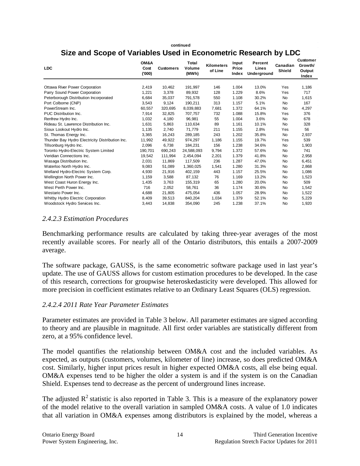#### **continued**

### **Size and Scope of Variables Used in Econometric Research by LDC**

| <b>LDC</b>                                      | OM&A<br>Cost<br>(000) | <b>Customers</b> | Total<br>Volume<br>(MWh) | <b>Kilometers</b><br>of Line | Input<br>Price<br>Index | Percent<br>Lines<br>Underground | Canadian<br><b>Shield</b> | Customer<br>Growth/<br>Output<br>Index |
|-------------------------------------------------|-----------------------|------------------|--------------------------|------------------------------|-------------------------|---------------------------------|---------------------------|----------------------------------------|
| <b>Ottawa River Power Corporation</b>           | 2.419                 | 10.462           | 191.997                  | 146                          | 1.004                   | 13.0%                           | Yes                       | 1,186                                  |
| Parry Sound Power Corporation                   | 1,221                 | 3.378            | 89.932                   | 128                          | 1.229                   | 8.6%                            | Yes                       | 717                                    |
| Peterborough Distribution Incorporated          | 6.684                 | 35,037           | 791,578                  | 550                          | 1.108                   | 30.2%                           | <b>No</b>                 | 1,615                                  |
| Port Colborne (CNP)                             | 3,543                 | 9,124            | 190,211                  | 313                          | 1.157                   | 5.1%                            | <b>No</b>                 | 167                                    |
| PowerStream Inc.                                | 60,557                | 320,695          | 8,039,883                | 7,681                        | 1.372                   | 64.1%                           | <b>No</b>                 | 4,297                                  |
| PUC Distribution Inc.                           | 7.914                 | 32.825           | 707.757                  | 732                          | 1.088                   | 15.8%                           | Yes                       | 376                                    |
| Renfrew Hydro Inc.                              | 1,032                 | 4.180            | 96.981                   | 55                           | 1.004                   | 3.6%                            | <b>No</b>                 | 678                                    |
| Rideau St. Lawrence Distribution Inc.           | 1.631                 | 5.863            | 110,634                  | 89                           | 1.161                   | 10.1%                           | <b>No</b>                 | 328                                    |
| Sioux Lookout Hydro Inc.                        | 1,135                 | 2,740            | 71,779                   | 211                          | 1.155                   | 2.8%                            | Yes                       | 56                                     |
| St. Thomas Energy Inc.                          | 3,365                 | 16,243           | 289,185                  | 243                          | 1.202                   | 35.8%                           | <b>No</b>                 | 2,937                                  |
| Thunder Bay Hydro Electricity Distribution Inc. | 11.992                | 49.922           | 974.297                  | 1,186                        | 1.155                   | 19.7%                           | Yes                       | 539                                    |
| Tillsonburg Hydro Inc.                          | 2.096                 | 6.738            | 184,231                  | 156                          | 1.238                   | 34.6%                           | <b>No</b>                 | 1,903                                  |
| Toronto Hydro-Electric System Limited           | 190,701               | 690,243          | 24,588,093               | 9,794                        | 1.372                   | 57.6%                           | <b>No</b>                 | 741                                    |
| Veridian Connections Inc.                       | 19,542                | 111,994          | 2,454,094                | 2,201                        | 1.379                   | 41.8%                           | <b>No</b>                 | 2,958                                  |
| Wasaga Distribution Inc.                        | 2,031                 | 11,869           | 117,509                  | 236                          | 1.287                   | 47.0%                           | <b>No</b>                 | 6,451                                  |
| Waterloo North Hydro Inc.                       | 9.083                 | 51.089           | 1,360,025                | 1,541                        | 1.280                   | 31.3%                           | <b>No</b>                 | 2,868                                  |
| Welland Hydro-Electric System Corp.             | 4,930                 | 21.916           | 402,159                  | 443                          | 1.157                   | 25.5%                           | <b>No</b>                 | 1,086                                  |
| Wellington North Power Inc.                     | 1.159                 | 3,588            | 87,132                   | 76                           | 1.169                   | 13.2%                           | <b>No</b>                 | 1,523                                  |
| West Coast Huron Energy Inc.                    | 1,435                 | 3,763            | 155,319                  | 65                           | 1.280                   | 20.0%                           | <b>No</b>                 | 509                                    |
| West Perth Power Inc.                           | 716                   | 2,052            | 58,761                   | 36                           | 1.174                   | 30.6%                           | <b>No</b>                 | 1,542                                  |
| Westario Power Inc.                             | 4,688                 | 21,805           | 475,054                  | 436                          | 1.057                   | 28.9%                           | <b>No</b>                 | 1,522                                  |
| Whitby Hydro Electric Corporation               | 8,409                 | 39,513           | 840,204                  | 1,034                        | 1.379                   | 52.1%                           | No                        | 5,229                                  |
| Woodstock Hydro Services Inc.                   | 3,443                 | 14,838           | 354,090                  | 245                          | 1.238                   | 37.1%                           | No                        | 1,920                                  |

#### <span id="page-17-0"></span>*2.4.2.3 Estimation Procedures*

Benchmarking performance results are calculated by taking three-year averages of the most recently available scores. For nearly all of the Ontario distributors, this entails a 2007-2009 average.

The software package, GAUSS, is the same econometric software package used in last year's update. The use of GAUSS allows for custom estimation procedures to be developed. In the case of this research, corrections for groupwise heteroskedasticity were developed. This allowed for more precision in coefficient estimates relative to an Ordinary Least Squares (OLS) regression.

#### <span id="page-17-1"></span>*2.4.2.4 2011 Rate Year Parameter Estimates*

Parameter estimates are provided in Table 3 below. All parameter estimates are signed according to theory and are plausible in magnitude. All first order variables are statistically different from zero, at a 95% confidence level.

The model quantifies the relationship between OM&A cost and the included variables. As expected, as outputs (customers, volumes, kilometer of line) increase, so does predicted OM&A cost. Similarly, higher input prices result in higher expected OM&A costs, all else being equal. OM&A expenses tend to be higher the older a system is and if the system is on the Canadian Shield. Expenses tend to decrease as the percent of underground lines increase.

The adjusted  $R^2$  statistic is also reported in Table 3. This is a measure of the explanatory power of the model relative to the overall variation in sampled OM&A costs. A value of 1.0 indicates that all variation in OM&A expenses among distributors is explained by the model, whereas a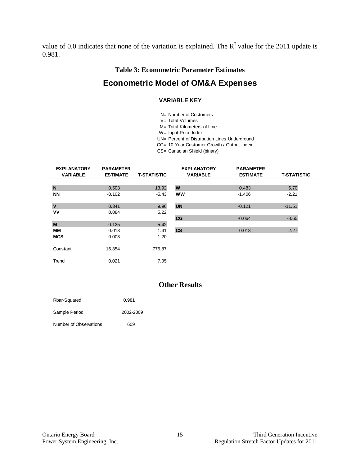<span id="page-18-0"></span>value of 0.0 indicates that none of the variation is explained. The  $R^2$  value for the 2011 update is 0.981.

#### **Table 3: Econometric Parameter Estimates**

### **Econometric Model of OM&A Expenses**

#### **VARIABLE KEY**

N= Number of Customers

- V= Total Volumes
- M= Total Kilometers of Line
- W= Input Price Index
- UN= Percent of Distribution Lines Underground
- CG= 10 Year Customer Growth / Output Index
- CS= Canadian Shield (binary)

| <b>EXPLANATORY</b><br><b>VARIABLE</b> | <b>PARAMETER</b><br><b>ESTIMATE</b> | <b>T-STATISTIC</b> | <b>EXPLANATORY</b><br><b>VARIABLE</b> | <b>PARAMETER</b><br><b>ESTIMATE</b> | <b>T-STATISTIC</b> |
|---------------------------------------|-------------------------------------|--------------------|---------------------------------------|-------------------------------------|--------------------|
|                                       |                                     |                    |                                       |                                     |                    |
| N                                     | 0.503                               | 13.92              | W                                     | 0.483                               | 5.70               |
| <b>NN</b>                             | $-0.102$                            | $-5.43$            | <b>WW</b>                             | $-1.406$                            | $-2.21$            |
|                                       |                                     |                    |                                       |                                     |                    |
| $\overline{\mathsf{v}}$               | 0.341                               | 9.96               | <b>UN</b>                             | $-0.121$                            | $-11.51$           |
| VV                                    | 0.084                               | 5.22               |                                       |                                     |                    |
|                                       |                                     |                    | CG                                    | $-0.064$                            | $-8.65$            |
| M                                     | 0.125                               | 5.42               |                                       |                                     |                    |
| MМ                                    | 0.013                               | 1.41               | <b>CS</b>                             | 0.013                               | 2.27               |
| <b>MCS</b>                            | 0.003                               | 1.20               |                                       |                                     |                    |
|                                       |                                     |                    |                                       |                                     |                    |
| Constant                              | 16.354                              | 775.87             |                                       |                                     |                    |
|                                       |                                     |                    |                                       |                                     |                    |
| Trend                                 | 0.021                               | 7.05               |                                       |                                     |                    |

#### **Other Results**

| Rbar-Squared           | 0.981     |
|------------------------|-----------|
| Sample Period          | 2002-2009 |
| Number of Observations | 609       |

í,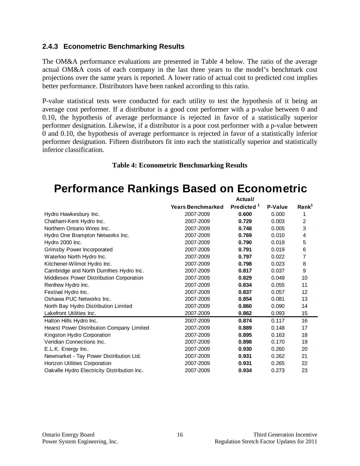#### <span id="page-19-0"></span>**2.4.3 Econometric Benchmarking Results**

The OM&A performance evaluations are presented in Table 4 below. The ratio of the average actual OM&A costs of each company in the last three years to the model's benchmark cost projections over the same years is reported. A lower ratio of actual cost to predicted cost implies better performance. Distributors have been ranked according to this ratio.

P-value statistical tests were conducted for each utility to test the hypothesis of it being an average cost performer. If a distributor is a good cost performer with a p-value between 0 and 0.10, the hypothesis of average performance is rejected in favor of a statistically superior performer designation. Likewise, if a distributor is a poor cost performer with a p-value between 0 and 0.10, the hypothesis of average performance is rejected in favor of a statistically inferior performer designation. Fifteen distributors fit into each the statistically superior and statistically inferior classification.

#### **Table 4: Econometric Benchmarking Results**

## <span id="page-19-1"></span>**Performance Rankings Based on Econometric**

|                                              | Actual/                  |                        |         |                   |
|----------------------------------------------|--------------------------|------------------------|---------|-------------------|
|                                              | <b>Years Benchmarked</b> | Predicted <sup>1</sup> | P-Value | Rank <sup>1</sup> |
| Hydro Hawkesbury Inc.                        | 2007-2009                | 0.600                  | 0.000   | 1                 |
| Chatham-Kent Hydro Inc.                      | 2007-2009                | 0.729                  | 0.003   | 2                 |
| Northern Ontario Wires Inc.                  | 2007-2009                | 0.748                  | 0.005   | 3                 |
| Hydro One Brampton Networks Inc.             | 2007-2009                | 0.769                  | 0.010   | 4                 |
| Hydro 2000 Inc.                              | 2007-2009                | 0.790                  | 0.019   | 5                 |
| Grimsby Power Incorporated                   | 2007-2009                | 0.791                  | 0.019   | 6                 |
| Waterloo North Hydro Inc.                    | 2007-2009                | 0.797                  | 0.022   | 7                 |
| Kitchener-Wilmot Hydro Inc.                  | 2007-2009                | 0.798                  | 0.023   | 8                 |
| Cambridge and North Dumfries Hydro Inc.      | 2007-2009                | 0.817                  | 0.037   | 9                 |
| Middlesex Power Distribution Corporation     | 2007-2009                | 0.829                  | 0.049   | 10                |
| Renfrew Hydro Inc.                           | 2007-2009                | 0.834                  | 0.055   | 11                |
| Festival Hydro Inc.                          | 2007-2009                | 0.837                  | 0.057   | 12                |
| Oshawa PUC Networks Inc.                     | 2007-2009                | 0.854                  | 0.081   | 13                |
| North Bay Hydro Distribution Limited         | 2007-2009                | 0.860                  | 0.090   | 14                |
| Lakefront Utilities Inc.                     | 2007-2009                | 0.862                  | 0.093   | 15                |
| Halton Hills Hydro Inc.                      | 2007-2009                | 0.874                  | 0.117   | 16                |
| Hearst Power Distribution Company Limited    | 2007-2009                | 0.889                  | 0.148   | 17                |
| Kingston Hydro Corporation                   | 2007-2009                | 0.895                  | 0.163   | 18                |
| Veridian Connections Inc.                    | 2007-2009                | 0.898                  | 0.170   | 19                |
| E.L.K. Energy Inc.                           | 2007-2009                | 0.930                  | 0.260   | 20                |
| Newmarket - Tay Power Distribution Ltd.      | 2007-2009                | 0.931                  | 0.262   | 21                |
| Horizon Utilities Corporation                | 2007-2009                | 0.931                  | 0.265   | 22                |
| Oakville Hydro Electricity Distribution Inc. | 2007-2009                | 0.934                  | 0.273   | 23                |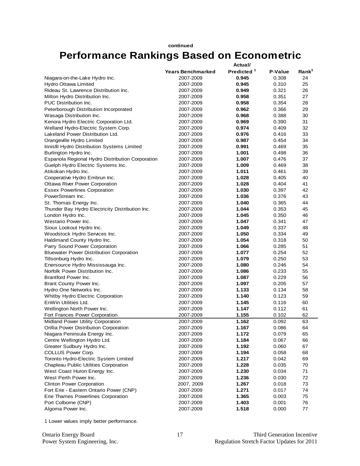## **continued Performance Rankings Based on Econometric**

|                                                       |                          | Actual/                |         |                   |  |
|-------------------------------------------------------|--------------------------|------------------------|---------|-------------------|--|
|                                                       | <b>Years Benchmarked</b> | Predicted <sup>1</sup> | P-Value | Rank <sup>1</sup> |  |
| Niagara-on-the-Lake Hydro Inc.                        | 2007-2009                | 0.945                  | 0.308   | 24                |  |
| Hydro Ottawa Limited                                  | 2007-2009                | 0.945                  | 0.310   | 25                |  |
| Rideau St. Lawrence Distribution Inc.                 | 2007-2009                | 0.949                  | 0.321   | 26                |  |
| Milton Hydro Distribution Inc.                        | 2007-2009                | 0.958                  | 0.351   | 27                |  |
| <b>PUC Distribution Inc.</b>                          | 2007-2009                | 0.958                  | 0.354   | 28                |  |
| Peterborough Distribution Incorporated                | 2007-2009                | 0.962                  | 0.366   | 29                |  |
| Wasaga Distribution Inc.                              | 2007-2009                | 0.968                  | 0.388   | 30                |  |
| Kenora Hydro Electric Corporation Ltd.                | 2007-2009                | 0.969                  | 0.390   | 31                |  |
| Welland Hydro-Electric System Corp.                   | 2007-2009                | 0.974                  | 0.409   | 32                |  |
| Lakeland Power Distribution Ltd.                      | 2007-2009                | 0.976                  | 0.416   | 33                |  |
| Orangeville Hydro Limited                             | 2007-2009                | 0.987                  | 0.454   | 34                |  |
| Innisfil Hydro Distribution Systems Limited           | 2007-2009                | 0.991                  | 0.469   | 35                |  |
| Burlington Hydro Inc.                                 | 2007-2009                | 1.001                  | 0.498   | 36                |  |
| Espanola Regional Hydro Distribution Corporation      | 2007-2009                | 1.007                  | 0.476   | 37                |  |
| Guelph Hydro Electric Systems Inc.                    | 2007-2009                | 1.009                  | 0.469   | 38                |  |
| Atikokan Hydro Inc.                                   | 2007-2009                | 1.011                  | 0.461   | 39                |  |
| Cooperative Hydro Embrun Inc.                         | 2007-2009                | 1.028                  | 0.405   | 40                |  |
| Ottawa River Power Corporation                        | 2007-2009                | 1.028                  | 0.404   | 41                |  |
| <b>Essex Powerlines Corporation</b>                   | 2007-2009                | 1.030                  | 0.397   | 42                |  |
| PowerStream Inc.                                      | 2007-2009                | 1.036                  | 0.376   | 43                |  |
| St. Thomas Energy Inc.                                | 2007-2009                | 1.040                  | 0.365   | 44                |  |
| Thunder Bay Hydro Electricity Distribution Inc.       | 2007-2009                | 1.044                  | 0.353   | 45                |  |
| London Hydro Inc.                                     | 2007-2009                | 1.045                  | 0.350   | 46                |  |
| Westario Power Inc.                                   | 2007-2009                | 1.047                  | 0.341   | 47                |  |
| Sioux Lookout Hydro Inc.                              | 2007-2009                | 1.049                  | 0.337   | 48                |  |
| Woodstock Hydro Services Inc.                         | 2007-2009                | 1.050                  | 0.334   | 49                |  |
| Haldimand County Hydro Inc.                           | 2007-2009                | 1.054                  | 0.318   | 50                |  |
| Parry Sound Power Corporation                         | 2007-2009                | 1.066                  | 0.285   | 51                |  |
| <b>Bluewater Power Distribution Corporation</b>       | 2007-2009                | 1.077                  | 0.254   | 52                |  |
| Tillsonburg Hydro Inc.                                | 2007-2009                | 1.079                  | 0.250   | 53                |  |
| Enersource Hydro Mississauga Inc.                     | 2007-2009                | 1.080                  | 0.246   | 54                |  |
| Norfolk Power Distribution Inc.                       | 2007-2009                | 1.086                  | 0.233   | 55                |  |
| Brantford Power Inc.                                  | 2007-2009                | 1.087                  | 0.229   | 56                |  |
| Brant County Power Inc.                               | 2007-2009                | 1.097                  | 0.205   | 57                |  |
| Hydro One Networks Inc.                               | 2007-2009                | 1.133                  | 0.134   | 58                |  |
| Whitby Hydro Electric Corporation                     | 2007-2009                | 1.140                  | 0.123   | 59                |  |
| EnWin Utilities Ltd.                                  | 2007-2009                | 1.145                  | 0.116   | 60                |  |
| Wellington North Power Inc.                           | 2007-2009                | 1.147                  | 0.112   | 61                |  |
| Fort Frances Power Corporation                        | 2007-2009                | 1.155                  | 0.102   | 62                |  |
| Midland Power Utility Corporation                     | 2007-2009                | 1.162                  | 0.092   | 63                |  |
| Orillia Power Distribution Corporation                | 2007-2009                | 1.167                  | 0.086   | 64                |  |
| Niagara Peninsula Energy Inc.                         | 2007-2009                | 1.172                  | 0.079   | 65                |  |
| Centre Wellington Hydro Ltd.                          | 2007-2009                | 1.184                  | 0.067   | 66                |  |
| Greater Sudbury Hydro Inc.                            | 2007-2009                | 1.192                  | 0.060   | 67                |  |
| COLLUS Power Corp.                                    | 2007-2009                | 1.194                  | 0.058   | 68                |  |
| Toronto Hydro-Electric System Limited                 | 2007-2009                | 1.217                  | 0.042   | 69                |  |
| Chapleau Public Utilities Corporation                 | 2007-2009                | 1.228                  | 0.035   | 70                |  |
|                                                       |                          | 1.230                  | 0.034   | 71                |  |
| West Coast Huron Energy Inc.<br>West Perth Power Inc. | 2007-2009<br>2007-2009   | 1.236                  |         | 72                |  |
| <b>Clinton Power Corporation</b>                      |                          | 1.267                  | 0.030   | 73                |  |
|                                                       | 2007, 2009               |                        | 0.018   |                   |  |
| Fort Erie - Eastern Ontario Power (CNP)               | 2007-2009                | 1.271                  | 0.017   | 74                |  |
| Erie Thames Powerlines Corporation                    | 2007-2009<br>2007-2009   | 1.365<br>1.403         | 0.003   | 75                |  |
| Port Colborne (CNP)                                   |                          |                        | 0.001   | 76                |  |
| Algoma Power Inc.                                     | 2007-2009                | 1.518                  | 0.000   | 77                |  |

1 Lower values imply better performance.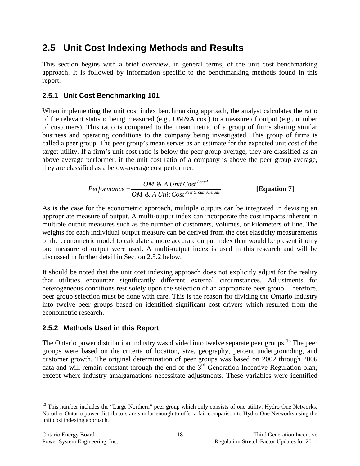## <span id="page-21-0"></span>**2.5 Unit Cost Indexing Methods and Results**

This section begins with a brief overview, in general terms, of the unit cost benchmarking approach. It is followed by information specific to the benchmarking methods found in this report.

### <span id="page-21-1"></span>**2.5.1 Unit Cost Benchmarking 101**

When implementing the unit cost index benchmarking approach, the analyst calculates the ratio of the relevant statistic being measured (e.g., OM&A cost) to a measure of output (e.g., number of customers). This ratio is compared to the mean metric of a group of firms sharing similar business and operating conditions to the company being investigated. This group of firms is called a peer group. The peer group's mean serves as an estimate for the expected unit cost of the target utility. If a firm's unit cost ratio is below the peer group average, they are classified as an above average performer, if the unit cost ratio of a company is above the peer group average, they are classified as a below-average cost performer.

*Performance* = 
$$
\frac{OM & A Unit Cost^{Actual}}{OM & A Unit Cost^{Per Group Average}}
$$
 [Equation 7]

As is the case for the econometric approach, multiple outputs can be integrated in devising an appropriate measure of output. A multi-output index can incorporate the cost impacts inherent in multiple output measures such as the number of customers, volumes, or kilometers of line. The weights for each individual output measure can be derived from the cost elasticity measurements of the econometric model to calculate a more accurate output index than would be present if only one measure of output were used. A multi-output index is used in this research and will be discussed in further detail in Section 2.5.2 below.

It should be noted that the unit cost indexing approach does not explicitly adjust for the reality that utilities encounter significantly different external circumstances. Adjustments for heterogeneous conditions rest solely upon the selection of an appropriate peer group. Therefore, peer group selection must be done with care. This is the reason for dividing the Ontario industry into twelve peer groups based on identified significant cost drivers which resulted from the econometric research.

### <span id="page-21-2"></span>**2.5.2 Methods Used in this Report**

The Ontario power distribution industry was divided into twelve separate peer groups.<sup>[13](#page-21-3)</sup> The peer groups were based on the criteria of location, size, geography, percent undergrounding, and customer growth. The original determination of peer groups was based on 2002 through 2006 data and will remain constant through the end of the  $3<sup>rd</sup>$  Generation Incentive Regulation plan, except where industry amalgamations necessitate adjustments. These variables were identified

<span id="page-21-3"></span><sup>&</sup>lt;sup>13</sup> This number includes the "Large Northern" peer group which only consists of one utility, Hydro One Networks. No other Ontario power distributors are similar enough to offer a fair comparison to Hydro One Networks using the unit cost indexing approach.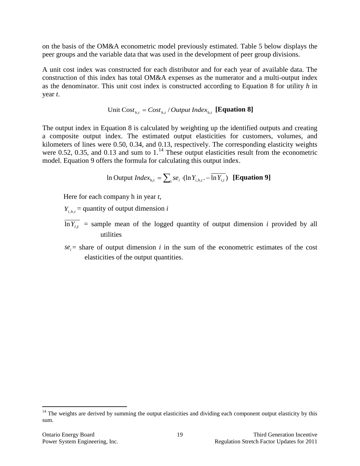on the basis of the OM&A econometric model previously estimated. Table 5 below displays the peer groups and the variable data that was used in the development of peer group divisions.

A unit cost index was constructed for each distributor and for each year of available data. The construction of this index has total OM&A expenses as the numerator and a multi-output index as the denominator. This unit cost index is constructed according to Equation 8 for utility *h* in year *t*.

Unit 
$$
\text{Cost}_{h,t} = \text{Cost}_{h,t} / \text{Output Index}_{h,t}
$$
 [Equation 8]

The output index in Equation 8 is calculated by weighting up the identified outputs and creating a composite output index. The estimated output elasticities for customers, volumes, and kilometers of lines were 0.50, 0.34, and 0.13, respectively. The corresponding elasticity weights were 0.52, 0.35, and 0.13 and sum to  $1<sup>14</sup>$  $1<sup>14</sup>$  $1<sup>14</sup>$  These output elasticities result from the econometric model. Equation 9 offers the formula for calculating this output index.

In Output 
$$
Index_{h,t} = \sum_{i} s e_i \cdot (\ln Y_{i,h,t} - \overline{\ln Y_{i,t}})
$$
 [Equation 9]

Here for each company h in year *t*,

 $Y_{i}$ <sub> $h$ </sub> = quantity of output dimension *i* 

- $\overline{\ln Y_{i}}$  = sample mean of the logged quantity of output dimension *i* provided by all utilities
- $se_i$  = share of output dimension *i* in the sum of the econometric estimates of the cost elasticities of the output quantities.

<span id="page-22-0"></span><sup>&</sup>lt;sup>14</sup> The weights are derived by summing the output elasticities and dividing each component output elasticity by this sum.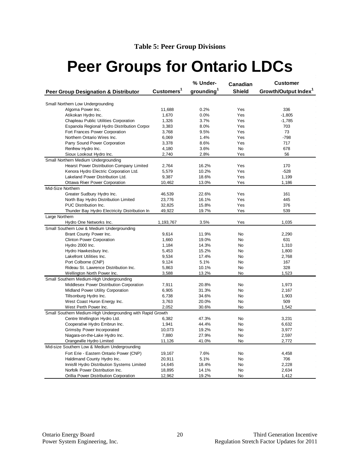# <span id="page-23-0"></span>**Peer Groups for Ontario LDCs**

|                                                             |                        | % Under-               | Canadian      | <b>Customer</b>                  |
|-------------------------------------------------------------|------------------------|------------------------|---------------|----------------------------------|
| <b>Peer Group Designation &amp; Distributor</b>             | Customers <sup>1</sup> | grounding <sup>1</sup> | <b>Shield</b> | Growth/Output Index <sup>1</sup> |
| Small Northern Low Undergrounding                           |                        |                        |               |                                  |
| Algoma Power Inc.                                           | 11,688                 | 0.2%                   | Yes           | 336                              |
| Atikokan Hydro Inc.                                         | 1,670                  | 0.0%                   | Yes           | $-1,805$                         |
| Chapleau Public Utilities Corporation                       | 1,326                  | 3.7%                   | Yes           | $-1,785$                         |
| Espanola Regional Hydro Distribution Corpor                 | 3,383                  | 8.0%                   | Yes           | 703                              |
| Fort Frances Power Corporation                              | 3,768                  | 9.5%                   | Yes           | 73                               |
| Northern Ontario Wires Inc.                                 | 6,069                  | 1.4%                   | Yes           | $-798$                           |
| Parry Sound Power Corporation                               | 3,378                  | 8.6%                   | Yes           | 717                              |
| Renfrew Hydro Inc.                                          | 4,180                  | 3.6%                   | <b>No</b>     | 678                              |
| Sioux Lookout Hydro Inc.                                    | 2,740                  | 2.8%                   | Yes           | 56                               |
| Small Northern Medium Undergrounding                        |                        |                        |               |                                  |
| Hearst Power Distribution Company Limited                   | 2,764                  | 16.2%                  | Yes           | 170                              |
| Kenora Hydro Electric Corporation Ltd.                      | 5,579                  | 10.2%                  | Yes           | $-528$                           |
| Lakeland Power Distribution Ltd.                            | 9,387                  | 18.6%                  | Yes           | 1,199                            |
|                                                             | 10,462                 | 13.0%                  | Yes           |                                  |
| Ottawa River Power Corporation<br>Mid-Size Northern         |                        |                        |               | 1,186                            |
|                                                             |                        |                        | Yes           |                                  |
| Greater Sudbury Hydro Inc.                                  | 46,539                 | 22.6%                  | Yes           | 161<br>445                       |
| North Bay Hydro Distribution Limited                        | 23,776                 | 16.1%                  |               |                                  |
| PUC Distribution Inc.                                       | 32,825                 | 15.8%                  | Yes           | 376                              |
| Thunder Bay Hydro Electricity Distribution In               | 49,922                 | 19.7%                  | Yes           | 539                              |
| Large Northern                                              |                        |                        |               |                                  |
| Hydro One Networks Inc.                                     | 1,193,767              | 3.5%                   | Yes           | 1,035                            |
| Small Southern Low & Medium Undergrounding                  |                        |                        |               |                                  |
| Brant County Power Inc.                                     | 9,614                  | 11.9%                  | <b>No</b>     | 2,290                            |
| <b>Clinton Power Corporation</b>                            | 1,660                  | 19.0%                  | <b>No</b>     | 631                              |
| Hydro 2000 Inc.                                             | 1,184                  | 14.3%                  | No            | 1,310                            |
| Hydro Hawkesbury Inc.                                       | 5,453                  | 15.2%                  | No            | 1,800                            |
| Lakefront Utilities Inc.                                    | 9,534                  | 17.4%                  | No            | 2,768                            |
| Port Colborne (CNP)                                         | 9,124                  | 5.1%                   | <b>No</b>     | 167                              |
| Rideau St. Lawrence Distribution Inc.                       | 5,863                  | 10.1%                  | <b>No</b>     | 328                              |
| Wellington North Power Inc.                                 | 3,588                  | 13.2%                  | No            | 1,523                            |
| Small Southern Medium-High Undergrounding                   |                        |                        |               |                                  |
| Middlesex Power Distribution Corporation                    | 7,911                  | 20.8%                  | No            | 1,973                            |
| Midland Power Utility Corporation                           | 6,905                  | 31.3%                  | <b>No</b>     | 2,167                            |
| Tillsonburg Hydro Inc.                                      | 6,738                  | 34.6%                  | <b>No</b>     | 1,903                            |
| West Coast Huron Energy Inc.                                | 3,763                  | 20.0%                  | <b>No</b>     | 509                              |
| West Perth Power Inc.                                       | 2,052                  | 30.6%                  | No            | 1,542                            |
| Small Southern Medium-High Undergrounding with Rapid Growth |                        |                        |               |                                  |
| Centre Wellington Hydro Ltd.                                | 6,382                  | 47.3%                  | No            | 3,231                            |
| Cooperative Hydro Embrun Inc.                               | 1,941                  | 44.4%                  | <b>No</b>     | 6,632                            |
| Grimsby Power Incorporated                                  | 10,073                 | 19.2%                  | No            | 3,977                            |
| Niagara-on-the-Lake Hydro Inc.                              | 7,880                  | 27.9%                  | No            | 2,597                            |
| Orangeville Hydro Limited                                   | 11,126                 | 41.0%                  | No            | 2,772                            |
| Mid-size Southern Low & Medium Undergrounding               |                        |                        |               |                                  |
| Fort Erie - Eastern Ontario Power (CNP)                     | 19,167                 | 7.6%                   | No            | 4,458                            |
| Haldimand County Hydro Inc.                                 | 20,911                 | 5.1%                   | <b>No</b>     | 706                              |
| Innisfil Hydro Distribution Systems Limited                 | 14,645                 | 18.4%                  | <b>No</b>     | 2,228                            |
| Norfolk Power Distribution Inc.                             | 18,895                 | 14.1%                  | No            | 2,634                            |
| Orillia Power Distribution Corporation                      | 12,962                 | 19.2%                  | No            | 1,412                            |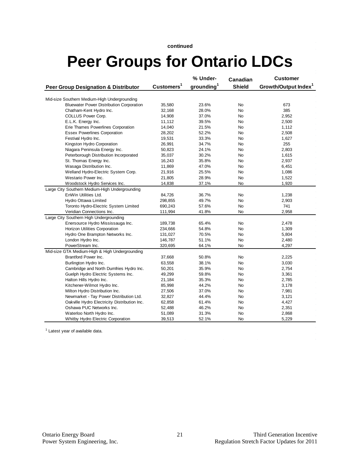#### **continued**

# **Peer Groups for Ontario LDCs**

|                                                 |                        | % Under-               | Canadian      | <b>Customer</b>                  |
|-------------------------------------------------|------------------------|------------------------|---------------|----------------------------------|
| <b>Peer Group Designation &amp; Distributor</b> | Customers <sup>1</sup> | grounding <sup>1</sup> | <b>Shield</b> | Growth/Output Index <sup>1</sup> |
| Mid-size Southern Medium-High Undergrounding    |                        |                        |               |                                  |
| <b>Bluewater Power Distribution Corporation</b> | 35,580                 | 23.6%                  | <b>No</b>     | 673                              |
| Chatham-Kent Hydro Inc.                         | 32,168                 | 28.0%                  | <b>No</b>     | 385                              |
| COLLUS Power Corp.                              | 14,908                 | 37.0%                  | <b>No</b>     | 2,952                            |
| E.L.K. Energy Inc.                              | 11,112                 | 39.5%                  | No            | 2,500                            |
| Erie Thames Powerlines Corporation              | 14,040                 | 21.5%                  | No            | 1,112                            |
| <b>Essex Powerlines Corporation</b>             | 28,202                 | 52.2%                  | <b>No</b>     | 2,508                            |
| Festival Hydro Inc.                             | 19,531                 | 33.3%                  | <b>No</b>     | 1,627                            |
| Kingston Hydro Corporation                      | 26,991                 | 34.7%                  | No            | 255                              |
| Niagara Peninsula Energy Inc.                   | 50,823                 | 24.1%                  | No            | 2,803                            |
| Peterborough Distribution Incorporated          | 35,037                 | 30.2%                  | No            | 1,615                            |
| St. Thomas Energy Inc.                          | 16,243                 | 35.8%                  | <b>No</b>     | 2,937                            |
| Wasaga Distribution Inc.                        | 11,869                 | 47.0%                  | <b>No</b>     | 6,451                            |
| Welland Hydro-Electric System Corp.             | 21,916                 | 25.5%                  | No            | 1,086                            |
| Westario Power Inc.                             | 21,805                 | 28.9%                  | No            | 1,522                            |
| Woodstock Hydro Services Inc.                   | 14,838                 | 37.1%                  | No            | 1,920                            |
| Large City Southern Medium-High Undergrounding  |                        |                        |               |                                  |
| EnWin Utilities Ltd.                            | 84,726                 | 36.7%                  | No            | 1,238                            |
| Hydro Ottawa Limited                            | 298,855                | 49.7%                  | <b>No</b>     | 2,903                            |
| Toronto Hydro-Electric System Limited           | 690,243                | 57.6%                  | No            | 741                              |
| Veridian Connections Inc.                       | 111,994                | 41.8%                  | No            | 2,958                            |
| Large City Southern High Undergrounding         |                        |                        |               |                                  |
| Enersource Hydro Mississauga Inc.               | 189,738                | 65.4%                  | No            | 2,478                            |
| Horizon Utilities Corporation                   | 234,666                | 54.8%                  | No            | 1,309                            |
| Hydro One Brampton Networks Inc.                | 131,027                | 70.5%                  | <b>No</b>     | 5,804                            |
| London Hydro Inc.                               | 146,787                | 51.1%                  | No            | 2,480                            |
| PowerStream Inc.                                | 320,695                | 64.1%                  | No            | 4,297                            |
| Mid-size GTA Medium-High & High Undergrounding  |                        |                        |               |                                  |
| Brantford Power Inc.                            | 37,668                 | 50.8%                  | <b>No</b>     | 2,225                            |
| Burlington Hydro Inc.                           | 63,558                 | 38.1%                  | No            | 3,030                            |
| Cambridge and North Dumfries Hydro Inc.         | 50,201                 | 35.9%                  | No            | 2,754                            |
| Guelph Hydro Electric Systems Inc.              | 49,299                 | 59.8%                  | No            | 3,361                            |
| Halton Hills Hydro Inc.                         | 21,184                 | 35.3%                  | <b>No</b>     | 2,785                            |
| Kitchener-Wilmot Hydro Inc.                     | 85,998                 | 44.2%                  | No            | 3,178                            |
| Milton Hydro Distribution Inc.                  | 27,506                 | 37.0%                  | No            | 7,981                            |
| Newmarket - Tay Power Distribution Ltd.         | 32,827                 | 44.4%                  | No            | 3,121                            |
| Oakville Hydro Electricity Distribution Inc.    | 62,858                 | 61.4%                  | No            | 4,427                            |
| Oshawa PUC Networks Inc.                        | 52,488                 | 46.2%                  | No            | 2,351                            |
| Waterloo North Hydro Inc.                       | 51,089                 | 31.3%                  | No            | 2,868                            |
| Whitby Hydro Electric Corporation               | 39,513                 | 52.1%                  | No            | 5,229                            |

<sup>1</sup> Latest year of available data.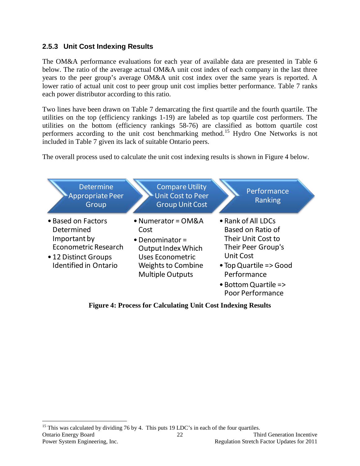### <span id="page-25-0"></span>**2.5.3 Unit Cost Indexing Results**

The OM&A performance evaluations for each year of available data are presented in Table 6 below. The ratio of the average actual OM&A unit cost index of each company in the last three years to the peer group's average OM&A unit cost index over the same years is reported. A lower ratio of actual unit cost to peer group unit cost implies better performance. Table 7 ranks each power distributor according to this ratio.

Two lines have been drawn on Table 7 demarcating the first quartile and the fourth quartile. The utilities on the top (efficiency rankings 1-19) are labeled as top quartile cost performers. The utilities on the bottom (efficiency rankings 58-76) are classified as bottom quartile cost performers according to the unit cost benchmarking method.<sup>[15](#page-25-2)</sup> Hydro One Networks is not included in Table 7 given its lack of suitable Ontario peers.

The overall process used to calculate the unit cost indexing results is shown in Figure 4 below.



<span id="page-25-1"></span>**Figure 4: Process for Calculating Unit Cost Indexing Results**

<span id="page-25-2"></span>Ontario Energy Board 22 Third Generation Incentive Power System Engineering, Inc. Regulation Stretch Factor Updates for 2011 <sup>15</sup> This was calculated by dividing 76 by 4. This puts 19 LDC's in each of the four quartiles.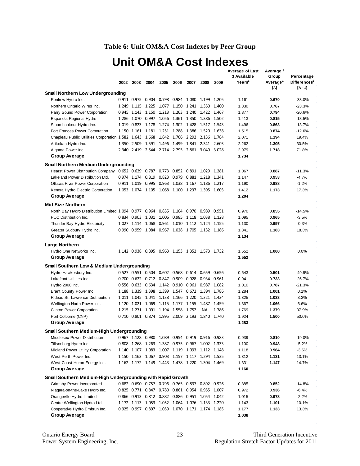### **Table 6: Unit OM&A Cost Indexes by Peer Group**

# **Unit OM&A Cost Indexes**

<span id="page-26-0"></span>

|                                                                                       |      |             |                         |                                                 |       |                         |           |       | <b>Average of Last</b>            | Average /                   |                                        |
|---------------------------------------------------------------------------------------|------|-------------|-------------------------|-------------------------------------------------|-------|-------------------------|-----------|-------|-----------------------------------|-----------------------------|----------------------------------------|
|                                                                                       |      |             |                         |                                                 |       |                         |           |       | 3 Available<br>Years <sup>1</sup> | Group                       | Percentage<br>Differences <sup>1</sup> |
|                                                                                       | 2002 | 2003        | 2004                    | 2005                                            | 2006  | 2007                    | 2008      | 2009  |                                   | Average <sup>1</sup><br>[A] | $[A - 1]$                              |
| <b>Small Northern Low Undergrounding</b>                                              |      |             |                         |                                                 |       |                         |           |       |                                   |                             |                                        |
| Renfrew Hydro Inc.                                                                    |      |             |                         | 0.911 0.975 0.904 0.798 0.984 1.080 1.199       |       |                         |           | 1.205 | 1.161                             | 0.670                       | $-33.0%$                               |
| Northern Ontario Wires Inc.                                                           |      |             |                         | 1.249 1.115 1.225 1.077 1.150 1.241 1.350 1.400 |       |                         |           |       | 1.330                             | 0.767                       | $-23.3%$                               |
| Parry Sound Power Corporation                                                         |      |             |                         | 0.945 1.143 1.150 1.213 1.263 1.240 1.422 1.467 |       |                         |           |       | 1.377                             | 0.794                       | $-20.6%$                               |
| Espanola Regional Hydro                                                               |      |             |                         | 1.286 1.070 0.997 1.056 1.361 1.350 1.386       |       |                         |           | 1.502 | 1.413                             | 0.815                       | $-18.5%$                               |
| Sioux Lookout Hydro Inc.                                                              |      |             |                         | 1.019  0.823  1.178  1.274  1.302  1.428  1.517 |       |                         |           | 1.543 | 1.496                             | 0.863                       | $-13.7%$                               |
| Fort Frances Power Corporation                                                        |      |             |                         | 1.150 1.161 1.181 1.251 1.288 1.386 1.520 1.638 |       |                         |           |       | 1.515                             | 0.874                       | $-12.6%$                               |
| Chapleau Public Utilities Corporation 1.582 1.643 1.668 1.842 1.766 2.292 2.136 1.784 |      |             |                         |                                                 |       |                         |           |       | 2.071                             | 1.194                       | 19.4%                                  |
| Atikokan Hydro Inc.                                                                   |      |             |                         | 1.350 2.509 1.591 1.496 1.499 1.841 2.341 2.603 |       |                         |           |       | 2.262                             | 1.305                       | 30.5%                                  |
| Algoma Power Inc.                                                                     |      |             |                         | 2.340 2.419 2.544 2.714 2.795 2.861 3.049       |       |                         |           | 3.028 | 2.979                             | 1.718                       | 71.8%                                  |
| <b>Group Average</b>                                                                  |      |             |                         |                                                 |       |                         |           |       | 1.734                             |                             |                                        |
|                                                                                       |      |             |                         |                                                 |       |                         |           |       |                                   |                             |                                        |
| <b>Small Northern Medium Undergrounding</b>                                           |      |             |                         |                                                 |       |                         |           |       |                                   |                             |                                        |
| <b>Hearst Power Distribution Company</b>                                              |      |             | 0.652 0.629 0.787 0.773 |                                                 |       | 0.852 0.891 1.029       |           | 1.281 | 1.067                             | 0.887                       | $-11.3%$                               |
| Lakeland Power Distribution Ltd.                                                      |      |             |                         | 0.974 1.174 0.819 0.823 0.979                   |       | 0.881 1.218             |           | 1.341 | 1.147                             | 0.953                       | $-4.7%$                                |
| Ottawa River Power Corporation                                                        |      | 0.911 1.019 |                         | 0.995 0.963                                     |       | 1.038 1.167 1.186 1.217 |           |       | 1.190                             | 0.988                       | $-1.2%$                                |
| Kenora Hydro Electric Corporation                                                     |      |             |                         | 1.053 1.074 1.105 1.068 1.100 1.237 1.395 1.603 |       |                         |           |       | 1.412                             | 1.173                       | 17.3%                                  |
| <b>Group Average</b>                                                                  |      |             |                         |                                                 |       |                         |           |       | 1.204                             |                             |                                        |
| <b>Mid-Size Northern</b>                                                              |      |             |                         |                                                 |       |                         |           |       |                                   |                             |                                        |
| North Bay Hydro Distribution Limited 1.094 0.977 0.964 0.855 1.104 0.970 0.989        |      |             |                         |                                                 |       |                         |           | 0.951 | 0.970                             | 0.855                       | $-14.5%$                               |
| PUC Distribution Inc.                                                                 |      | 0.834 0.903 |                         | 1.031 1.006 0.985 1.118 1.038                   |       |                         |           | 1.128 | 1.095                             | 0.965                       | $-3.5%$                                |
| Thunder Bay Hydro Electricity                                                         |      | 1.027 1.114 | 1.068                   |                                                 |       | 0.961 1.010 1.112 1.124 |           | 1.155 | 1.130                             | 0.997                       | $-0.3%$                                |
| Greater Sudbury Hydro Inc.                                                            |      |             |                         | 0.990 0.959 1.084 0.967 1.028 1.705 1.132 1.186 |       |                         |           |       | 1.341                             | 1.183                       | 18.3%                                  |
| Group Average                                                                         |      |             |                         |                                                 |       |                         |           |       | 1.134                             |                             |                                        |
|                                                                                       |      |             |                         |                                                 |       |                         |           |       |                                   |                             |                                        |
| Large Northern                                                                        |      |             |                         |                                                 |       |                         |           |       |                                   |                             |                                        |
| Hydro One Networks Inc.                                                               |      |             |                         | 1.142 0.938 0.895 0.963 1.153 1.352 1.573 1.732 |       |                         |           |       | 1.552                             | 1.000                       | 0.0%                                   |
| Group Average                                                                         |      |             |                         |                                                 |       |                         |           |       | 1.552                             |                             |                                        |
| <b>Small Southern Low &amp; Medium Undergrounding</b>                                 |      |             |                         |                                                 |       |                         |           |       |                                   |                             |                                        |
| Hydro Hawkesbury Inc.                                                                 |      |             |                         | 0.527  0.551  0.504  0.602  0.568  0.614  0.659 |       |                         |           | 0.656 | 0.643                             | 0.501                       | $-49.9%$                               |
| Lakefront Utilities Inc.                                                              |      |             |                         | 0.700  0.622  0.712  0.847  0.909               |       | 0.928                   | 0.934     | 0.961 | 0.941                             | 0.733                       | $-26.7%$                               |
| Hydro 2000 Inc.                                                                       |      |             |                         | 0.556 0.633 0.634 1.142 0.910 0.961 0.987       |       |                         |           | 1.082 | 1.010                             | 0.787                       | $-21.3%$                               |
| Brant County Power Inc.                                                               |      |             |                         | 1.188 1.339 1.398 1.399 1.547                   |       | 0.672 1.394             |           | 1.786 | 1.284                             | 1.001                       | 0.1%                                   |
| Rideau St. Lawrence Distribution                                                      |      |             |                         | 1.011  1.045  1.041  1.138  1.166  1.220        |       |                         | 1.321     | 1.434 | 1.325                             | 1.033                       | 3.3%                                   |
| Wellington North Power Inc.                                                           |      |             |                         | 1.120 1.021 1.069 1.115 1.177 1.155 1.487       |       |                         |           | 1.459 | 1.367                             | 1.066                       | 6.6%                                   |
| <b>Clinton Power Corporation</b>                                                      |      | 1.215 1.271 |                         | 1.091 1.194                                     | 1.558 | 1.752                   | <b>NA</b> | 1.786 | 1.769                             | 1.379                       | 37.9%                                  |
| Port Colborne (CNP)                                                                   |      |             | 0.710 0.801 0.874 1.995 |                                                 | 2.009 | 2.193                   | 1.840     | 1.740 | 1.924                             | 1.500                       | 50.0%                                  |
| Group Average                                                                         |      |             |                         |                                                 |       |                         |           |       | 1.283                             |                             |                                        |
| Small Southern Medium-High Undergrounding                                             |      |             |                         |                                                 |       |                         |           |       |                                   |                             |                                        |
| Middlesex Power Distribution                                                          |      |             |                         | 0.967 1.128 0.980 1.089 0.954 0.919 0.916 0.983 |       |                         |           |       | 0.939                             | 0.810                       | $-19.0%$                               |
| Tillsonburg Hydro Inc.                                                                |      |             |                         | 0.808 1.268 1.263 1.387 0.975 0.967 1.002 1.333 |       |                         |           |       | 1.100                             | 0.948                       | $-5.2%$                                |
| Midland Power Utility Corporation                                                     |      |             |                         | 1.140 1.107 1.083 1.007 1.119 1.093 1.112 1.148 |       |                         |           |       | 1.118                             | 0.964                       | $-3.6%$                                |
| West Perth Power Inc.                                                                 |      |             |                         | 1.150 1.163 1.067 0.903 1.157 1.117 1.294 1.525 |       |                         |           |       | 1.312                             | 1.131                       | 13.1%                                  |
| West Coast Huron Energy Inc.                                                          |      |             |                         | 1.162 1.172 1.149 1.443 1.478 1.220 1.304 1.469 |       |                         |           |       | 1.331                             | 1.147                       | 14.7%                                  |
| <b>Group Average</b>                                                                  |      |             |                         |                                                 |       |                         |           |       | 1.160                             |                             |                                        |
|                                                                                       |      |             |                         |                                                 |       |                         |           |       |                                   |                             |                                        |
| Small Southern Medium-High Undergrounding with Rapid Growth                           |      |             |                         |                                                 |       |                         |           |       |                                   |                             |                                        |
| Grimsby Power Incorporated                                                            |      |             |                         | 0.682 0.690 0.757 0.796 0.765 0.837 0.892 0.926 |       |                         |           |       | 0.885                             | 0.852                       | $-14.8%$                               |
| Niagara-on-the-Lake Hydro Inc.                                                        |      |             |                         | 0.825 0.771 0.847 0.780 0.861 0.954 0.955 1.007 |       |                         |           |       | 0.972                             | 0.936                       | $-6.4%$                                |
| Orangeville Hydro Limited                                                             |      |             |                         | 0.866 0.913 0.812 0.882 0.886 0.951 1.054 1.042 |       |                         |           |       | 1.015                             | 0.978                       | $-2.2%$                                |
| Centre Wellington Hydro Ltd.                                                          |      |             |                         | 1.172 1.113 1.053 1.052 1.064 1.076 1.133 1.220 |       |                         |           |       | 1.143                             | 1.101                       | 10.1%                                  |
| Cooperative Hydro Embrun Inc.                                                         |      |             |                         | 0.925 0.997 0.897 1.059 1.070 1.171 1.174 1.185 |       |                         |           |       | 1.177                             | 1.133                       | 13.3%                                  |
| <b>Group Average</b>                                                                  |      |             |                         |                                                 |       |                         |           |       | 1.038                             |                             |                                        |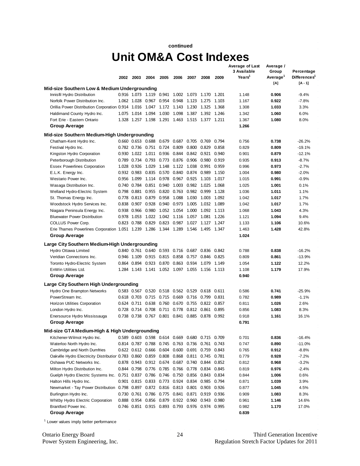#### **continued**

## **Unit OM&A Cost Indexes**

|                                                                                    |      |                   |                         |                                     |             |                                                        |             |       | Average of Last<br>3 Available | Average /                     |                                        |
|------------------------------------------------------------------------------------|------|-------------------|-------------------------|-------------------------------------|-------------|--------------------------------------------------------|-------------|-------|--------------------------------|-------------------------------|----------------------------------------|
|                                                                                    | 2002 | 2003              | 2004                    | 2005                                | 2006        | 2007                                                   | 2008        | 2009  | Years <sup>1</sup>             | Group<br>Average <sup>1</sup> | Percentage<br>Differences <sup>1</sup> |
|                                                                                    |      |                   |                         |                                     |             |                                                        |             |       |                                | [A]                           | $IA - 11$                              |
| Mid-size Southern Low & Medium Undergrounding                                      |      |                   |                         |                                     |             |                                                        |             |       |                                |                               |                                        |
| Innisfil Hydro Distribution                                                        |      |                   |                         |                                     |             | 0.916 1.073 1.119 0.941 1.002 1.073 1.170 1.201        |             |       | 1.148                          | 0.906                         | $-9.4%$                                |
| Norfolk Power Distribution Inc.                                                    |      |                   | 1.062 1.028 0.967 0.954 |                                     |             | 0.948 1.123 1.275                                      |             | 1.103 | 1.167                          | 0.922                         | $-7.8%$                                |
| Orillia Power Distribution Corporation 0.914 1.016 1.047                           |      |                   |                         |                                     |             | 1.172 1.143 1.230 1.325                                |             | 1.368 | 1.308                          | 1.033                         | 3.3%                                   |
| Haldimand County Hydro Inc.                                                        |      | 1.075 1.014       | 1.094                   | 1.030                               | 1.098 1.387 |                                                        | 1.392 1.246 |       | 1.342                          | 1.060                         | 6.0%                                   |
| Fort Erie - Eastern Ontario                                                        |      |                   |                         |                                     |             | 1.328 1.257 1.198 1.291 1.463 1.515 1.377 1.211        |             |       | 1.367                          | 1.080                         | 8.0%                                   |
| Group Average                                                                      |      |                   |                         |                                     |             |                                                        |             |       | 1.266                          |                               |                                        |
| Mid-size Southern Medium-High Undergrounding                                       |      |                   |                         |                                     |             |                                                        |             |       |                                |                               |                                        |
| Chatham-Kent Hydro Inc.                                                            |      |                   | 0.660 0.653 0.688 0.679 |                                     | 0.687       | 0.705                                                  | 0.769       | 0.794 | 0.756                          | 0.738                         | $-26.2%$                               |
| Festival Hydro Inc.                                                                |      | 0.782 0.736       | 0.751 0.724             |                                     | 0.809       | 0.800                                                  | 0.829       | 0.858 | 0.829                          | 0.809                         | $-19.1%$                               |
| Kingston Hydro Corporation                                                         |      | 0.930 1.022       |                         | 1.011  0.936                        | 0.844       | 0.842                                                  | 0.921 0.940 |       | 0.901                          | 0.879                         | $-12.1%$                               |
| Peterborough Distribution                                                          |      | 0.789 0.734       | 0.793                   | 0.773                               | 0.876       | 0.906                                                  | 0.980       | 0.919 | 0.935                          | 0.913                         | $-8.7%$                                |
| <b>Essex Powerlines Corporation</b>                                                |      | 1.028 0.926       | 1.029                   | 1.148                               | 1.122 1.038 |                                                        | 0.991 0.959 |       | 0.996                          | 0.973                         | $-2.7%$                                |
| E.L.K. Energy Inc.                                                                 |      | 0.932 0.983       | 0.835                   | 0.570                               | 0.840       | 0.874                                                  | 0.989       | 1.150 | 1.004                          | 0.980                         | $-2.0%$                                |
| Westario Power Inc.                                                                |      | 0.956 1.099       | 1.114                   | 0.978                               | 0.967 0.925 |                                                        | 1.103       | 1.017 | 1.015                          | 0.991                         | $-0.9%$                                |
| Wasaga Distribution Inc.                                                           |      | 0.740 0.784       | 0.851 0.940             |                                     | 1.003       | 0.982                                                  | 1.025       | 1.068 | 1.025                          | 1.001                         | 0.1%                                   |
| Welland Hydro-Electric System                                                      |      | 0.798 0.881       | 0.955                   | 0.820                               | 0.763       | 0.982                                                  | 0.999       | 1.128 | 1.036                          | 1.011                         | 1.1%                                   |
| St. Thomas Energy Inc.                                                             |      | 0.778 0.813       | 0.879                   | 0.958                               | 1.088       | 1.030                                                  | 1.003       | 1.092 | 1.042                          | 1.017                         | 1.7%                                   |
| Woodstock Hydro Services Inc.                                                      |      | 0.838 0.907       |                         | 0.928 0.940                         | 0.973 1.005 |                                                        | 1.032 1.089 |       | 1.042                          | 1.017                         | 1.7%                                   |
| Niagara Peninsula Energy Inc.                                                      |      | 0.938 0.966       | 0.980                   | 1.052 1.054                         |             | 1.000                                                  | 1.092 1.113 |       | 1.068                          | 1.043                         | 4.3%                                   |
| <b>Bluewater Power Distribution</b>                                                |      | 0.978 1.053       | 1.022                   | 1.042 1.116                         |             | 1.057                                                  | 1.081 1.226 |       | 1.121                          | 1.094                         | 9.4%                                   |
| <b>COLLUS Power Corp.</b>                                                          |      | 0.823 0.788       | 0.829                   | 0.823                               | 0.987       | 1.027                                                  | 1.127 1.247 |       | 1.133                          | 1.106                         | 10.6%                                  |
| Erie Thames Powerlines Corporation 1.051 1.239 1.286                               |      |                   |                         | 1.344 1.289                         |             | 1.546                                                  | 1.495       | 1.347 | 1.463                          | 1.428                         | 42.8%                                  |
| Group Average                                                                      |      |                   |                         |                                     |             |                                                        |             |       | 1.024                          |                               |                                        |
| Large City Southern Medium-High Undergrounding                                     |      |                   |                         |                                     |             |                                                        |             |       |                                |                               |                                        |
| Hydro Ottawa Limited                                                               |      |                   | 0.840 0.761 0.640 0.593 |                                     | 0.716       | 0.687                                                  | 0.836       | 0.842 | 0.788                          | 0.838                         | $-16.2%$                               |
| Veridian Connections Inc.                                                          |      | 0.946 1.109       | 0.915 0.815             |                                     |             | 0.858 0.757                                            | 0.846 0.825 |       | 0.809                          | 0.861                         | $-13.9%$                               |
| Toronto Hydro-Electric System                                                      |      | 0.864 0.894       | 0.923 0.870             |                                     |             | 0.863 0.934                                            | 1.079       | 1.149 | 1.054                          | 1.122                         | 12.2%                                  |
| EnWin Utilities Ltd.                                                               |      | 1.284 1.143       |                         | 1.141 1.052 1.097 1.055             |             |                                                        | 1.156 1.113 |       | 1.108                          | 1.179                         | 17.9%                                  |
| Group Average                                                                      |      |                   |                         |                                     |             |                                                        |             |       | 0.940                          |                               |                                        |
| Large City Southern High Undergrounding                                            |      |                   |                         |                                     |             |                                                        |             |       |                                |                               |                                        |
| Hydro One Brampton Networks                                                        |      | 0.583 0.567       |                         | 0.520 0.518                         | 0.562 0.529 |                                                        | 0.618       | 0.611 | 0.586                          | 0.741                         | $-25.9%$                               |
| PowerStream Inc.                                                                   |      | 0.618 0.703       | 0.715                   | 0.715                               | 0.669       | 0.716                                                  | 0.799       | 0.831 | 0.782                          | 0.989                         | $-1.1%$                                |
| Horizon Utilities Corporation                                                      |      | 0.624 0.711 0.638 |                         | 0.760                               | 0.670       | 0.755                                                  | 0.822 0.857 |       | 0.811                          | 1.026                         | 2.6%                                   |
| London Hydro Inc.                                                                  |      | 0.728 0.714       | 0.708                   | 0.711 0.778                         |             | 0.812                                                  | 0.861 0.895 |       | 0.856                          | 1.083                         | 8.3%                                   |
| Enersource Hydro Mississauga                                                       |      |                   |                         |                                     |             | 0.738 0.738 0.767 0.801 0.841 0.885 0.878 0.992        |             |       | 0.918                          | 1.161                         | 16.1%                                  |
| Group Average                                                                      |      |                   |                         |                                     |             |                                                        |             |       | 0.791                          |                               |                                        |
| Mid-size GTA Medium-High & High Undergrounding                                     |      |                   |                         |                                     |             |                                                        |             |       |                                |                               |                                        |
| Kitchener-Wilmot Hydro Inc.                                                        |      |                   |                         |                                     |             | 0.589  0.603  0.598  0.614  0.669  0.680  0.715  0.709 |             |       | 0.701                          | 0.836                         | $-16.4%$                               |
| Waterloo North Hydro Inc.                                                          |      |                   |                         |                                     |             | 0.814 0.787 0.788 0.745 0.763 0.736 0.761 0.743        |             |       | 0.747                          | 0.890                         | $-11.0%$                               |
| Cambridge and North Dumfries                                                       |      |                   |                         |                                     |             | 0.622 0.612 0.666 0.604 0.600 0.691 0.759              |             | 0.843 | 0.765                          | 0.912                         | $-8.8%$                                |
| Oakville Hydro Electricity Distribution 0.783 0.860                                |      |                   |                         |                                     |             | 0.859  0.808  0.868  0.811  0.745  0.781               |             |       | 0.779                          | 0.928                         | $-7.2%$                                |
| Oshawa PUC Networks Inc.                                                           |      |                   |                         |                                     |             | 0.878 0.943 0.912 0.674 0.687 0.740 0.844 0.852        |             |       | 0.812                          | 0.968                         | $-3.2%$                                |
| Milton Hydro Distribution Inc.                                                     |      |                   |                         | 0.844 0.798 0.776 0.785 0.766 0.778 |             |                                                        | 0.834       | 0.845 | 0.819                          | 0.976                         | $-2.4%$                                |
| Guelph Hydro Electric Systems Inc. 0.751 0.837 0.786 0.746 0.750 0.856             |      |                   |                         |                                     |             |                                                        | 0.843 0.834 |       | 0.844                          | 1.006                         | 0.6%                                   |
| Halton Hills Hydro Inc.                                                            |      |                   |                         |                                     |             | 0.901 0.815 0.833 0.773 0.924 0.834 0.985              |             | 0.794 | 0.871                          | 1.039                         | 3.9%                                   |
| Newmarket - Tay Power Distribution 0.798 0.897 0.872 0.816 0.813 0.801 0.903 0.926 |      |                   |                         |                                     |             |                                                        |             |       | 0.877                          | 1.045                         | 4.5%                                   |
| Burlington Hydro Inc.                                                              |      |                   |                         |                                     |             | 0.730 0.761 0.786 0.775 0.841 0.871 0.919 0.936        |             |       | 0.909                          | 1.083                         | 8.3%                                   |
| Whitby Hydro Electric Corporation                                                  |      | 0.888 0.954       |                         | 0.856 0.879 0.922 0.960             |             |                                                        | 0.943 0.980 |       | 0.961                          | 1.146                         | 14.6%                                  |
| Brantford Power Inc.                                                               |      |                   |                         |                                     |             | 0.746 0.851 0.915 0.893 0.793 0.976 0.974 0.995        |             |       | 0.982                          | 1.170                         | 17.0%                                  |
| <b>Group Average</b>                                                               |      |                   |                         |                                     |             |                                                        |             |       | 0.839                          |                               |                                        |

<sup>1</sup> Lower values imply better performance

Ontario Energy Board Third Generation Incentive<br>
Power System Engineering, Inc. 2011<br>
24 Regulation Stretch Factor Updates for 2011 Regulation Stretch Factor Updates for 2011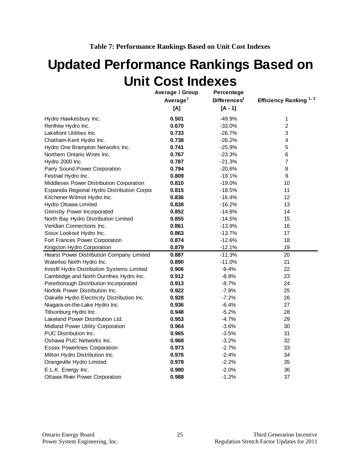# <span id="page-28-0"></span>**Updated Performance Rankings Based on Unit Cost Indexes**

|                                              | Average / Group      | Percentage               |                                   |  |
|----------------------------------------------|----------------------|--------------------------|-----------------------------------|--|
|                                              | Average <sup>1</sup> | Differences <sup>1</sup> | Efficiency Ranking <sup>1,2</sup> |  |
|                                              | [A]                  | $[A - 1]$                |                                   |  |
| Hydro Hawkesbury Inc.                        | 0.501                | $-49.9%$                 | 1                                 |  |
| Renfrew Hydro Inc.                           | 0.670                | $-33.0%$                 | $\overline{2}$                    |  |
| Lakefront Utilities Inc.                     | 0.733                | $-26.7%$                 | 3                                 |  |
| Chatham-Kent Hydro Inc.                      | 0.738                | $-26.2%$                 | 4                                 |  |
| Hydro One Brampton Networks Inc.             | 0.741                | $-25.9%$                 | 5                                 |  |
| Northern Ontario Wires Inc.                  | 0.767                | $-23.3%$                 | 6                                 |  |
| Hydro 2000 Inc.                              | 0.787                | $-21.3%$                 | $\overline{7}$                    |  |
| Parry Sound Power Corporation                | 0.794                | $-20.6%$                 | 8                                 |  |
| Festival Hydro Inc.                          | 0.809                | $-19.1%$                 | 9                                 |  |
| Middlesex Power Distribution Corporation     | 0.810                | $-19.0%$                 | 10                                |  |
| Espanola Regional Hydro Distribution Corpor  | 0.815                | $-18.5%$                 | 11                                |  |
| Kitchener-Wilmot Hydro Inc.                  | 0.836                | $-16.4%$                 | 12                                |  |
| Hydro Ottawa Limited                         | 0.838                | $-16.2%$                 | 13                                |  |
| <b>Grimsby Power Incorporated</b>            | 0.852                | $-14.8%$                 | 14                                |  |
| North Bay Hydro Distribution Limited         | 0.855                | $-14.5%$                 | 15                                |  |
| Veridian Connections Inc.                    | 0.861                | $-13.9%$                 | 16                                |  |
| Sioux Lookout Hydro Inc.                     | 0.863                | $-13.7%$                 | 17                                |  |
| Fort Frances Power Corporation               | 0.874                | $-12.6%$                 | 18                                |  |
| Kingston Hydro Corporation                   | 0.879                | $-12.1%$                 | 19                                |  |
| Hearst Power Distribution Company Limited    | 0.887                | $-11.3%$                 | 20                                |  |
| Waterloo North Hydro Inc.                    | 0.890                | $-11.0%$                 | 21                                |  |
| Innisfil Hydro Distribution Systems Limited  | 0.906                | $-9.4%$                  | 22                                |  |
| Cambridge and North Dumfries Hydro Inc.      | 0.912                | $-8.8%$                  | 23                                |  |
| Peterborough Distribution Incorporated       | 0.913                | $-8.7%$                  | 24                                |  |
| Norfolk Power Distribution Inc.              | 0.922                | $-7.8%$                  | 25                                |  |
| Oakville Hydro Electricity Distribution Inc. | 0.928                | $-7.2%$                  | 26                                |  |
| Niagara-on-the-Lake Hydro Inc.               | 0.936                | $-6.4%$                  | 27                                |  |
| Tillsonburg Hydro Inc.                       | 0.948                | $-5.2%$                  | 28                                |  |
| Lakeland Power Distribution Ltd.             | 0.953                | $-4.7%$                  | 29                                |  |
| Midland Power Utility Corporation            | 0.964                | $-3.6%$                  | 30                                |  |
| <b>PUC Distribution Inc.</b>                 | 0.965                | $-3.5%$                  | 31                                |  |
| Oshawa PUC Networks Inc.                     | 0.968                | $-3.2%$                  | 32                                |  |
| <b>Essex Powerlines Corporation</b>          | 0.973                | $-2.7%$                  | 33                                |  |
| Milton Hydro Distribution Inc.               | 0.976                | $-2.4%$                  | 34                                |  |
| Orangeville Hydro Limited                    | 0.978                | $-2.2%$                  | 35                                |  |
| E.L.K. Energy Inc.                           | 0.980                | $-2.0%$                  | 36                                |  |
| <b>Ottawa River Power Corporation</b>        | 0.988                | $-1.2%$                  | 37                                |  |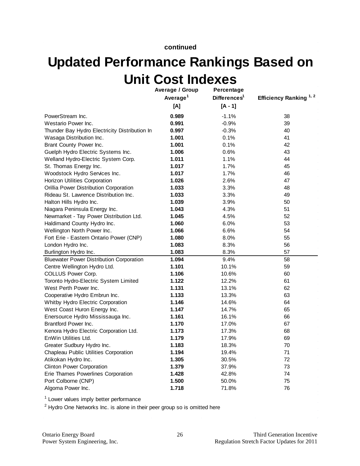**continued**

# **Updated Performance Rankings Based on Unit Cost Indexes**

|                                                 | Average / Group<br>Average <sup>1</sup><br>[A] | Percentage<br>Differences <sup>1</sup><br>$[A - 1]$ | Efficiency Ranking <sup>1,2</sup> |
|-------------------------------------------------|------------------------------------------------|-----------------------------------------------------|-----------------------------------|
|                                                 |                                                |                                                     |                                   |
| PowerStream Inc.                                | 0.989                                          | $-1.1%$                                             | 38                                |
| Westario Power Inc.                             | 0.991                                          | $-0.9%$                                             | 39                                |
| Thunder Bay Hydro Electricity Distribution In   | 0.997                                          | $-0.3%$                                             | 40                                |
| Wasaga Distribution Inc.                        | 1.001                                          | 0.1%                                                | 41                                |
| Brant County Power Inc.                         | 1.001                                          | 0.1%                                                | 42                                |
| Guelph Hydro Electric Systems Inc.              | 1.006                                          | 0.6%                                                | 43                                |
| Welland Hydro-Electric System Corp.             | 1.011                                          | 1.1%                                                | 44                                |
| St. Thomas Energy Inc.                          | 1.017                                          | 1.7%                                                | 45                                |
| Woodstock Hydro Services Inc.                   | 1.017                                          | 1.7%                                                | 46                                |
| Horizon Utilities Corporation                   | 1.026                                          | 2.6%                                                | 47                                |
| Orillia Power Distribution Corporation          | 1.033                                          | 3.3%                                                | 48                                |
| Rideau St. Lawrence Distribution Inc.           | 1.033                                          | 3.3%                                                | 49                                |
| Halton Hills Hydro Inc.                         | 1.039                                          | 3.9%                                                | 50                                |
| Niagara Peninsula Energy Inc.                   | 1.043                                          | 4.3%                                                | 51                                |
| Newmarket - Tay Power Distribution Ltd.         | 1.045                                          | 4.5%                                                | 52                                |
| Haldimand County Hydro Inc.                     | 1.060                                          | 6.0%                                                | 53                                |
| Wellington North Power Inc.                     | 1.066                                          | 6.6%                                                | 54                                |
| Fort Erie - Eastern Ontario Power (CNP)         | 1.080                                          | 8.0%                                                | 55                                |
| London Hydro Inc.                               | 1.083                                          | 8.3%                                                | 56                                |
| Burlington Hydro Inc.                           | 1.083                                          | 8.3%                                                | 57                                |
| <b>Bluewater Power Distribution Corporation</b> | 1.094                                          | 9.4%                                                | 58                                |
| Centre Wellington Hydro Ltd.                    | 1.101                                          | 10.1%                                               | 59                                |
| COLLUS Power Corp.                              | 1.106                                          | 10.6%                                               | 60                                |
| Toronto Hydro-Electric System Limited           | 1.122                                          | 12.2%                                               | 61                                |
| West Perth Power Inc.                           | 1.131                                          | 13.1%                                               | 62                                |
| Cooperative Hydro Embrun Inc.                   | 1.133                                          | 13.3%                                               | 63                                |
| Whitby Hydro Electric Corporation               | 1.146                                          | 14.6%                                               | 64                                |
| West Coast Huron Energy Inc.                    | 1.147                                          | 14.7%                                               | 65                                |
| Enersource Hydro Mississauga Inc.               | 1.161                                          | 16.1%                                               | 66                                |
| Brantford Power Inc.                            | 1.170                                          | 17.0%                                               | 67                                |
| Kenora Hydro Electric Corporation Ltd.          | 1.173                                          | 17.3%                                               | 68                                |
| EnWin Utilities Ltd.                            | 1.179                                          | 17.9%                                               | 69                                |
| Greater Sudbury Hydro Inc.                      | 1.183                                          | 18.3%                                               | 70                                |
| Chapleau Public Utilities Corporation           | 1.194                                          | 19.4%                                               | 71                                |
| Atikokan Hydro Inc.                             | 1.305                                          | 30.5%                                               | 72                                |
| <b>Clinton Power Corporation</b>                | 1.379                                          | 37.9%                                               | 73                                |
| Erie Thames Powerlines Corporation              | 1.428                                          | 42.8%                                               | 74                                |
| Port Colborne (CNP)                             | 1.500                                          | 50.0%                                               | 75                                |
| Algoma Power Inc.                               | 1.718                                          | 71.8%                                               | 76                                |

<sup>1</sup> Lower values imply better performance

 $2$  Hydro One Networks Inc. is alone in their peer group so is omitted here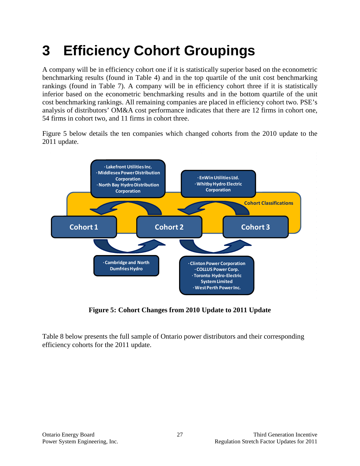# <span id="page-30-0"></span>**3 Efficiency Cohort Groupings**

A company will be in efficiency cohort one if it is statistically superior based on the econometric benchmarking results (found in Table 4) and in the top quartile of the unit cost benchmarking rankings (found in Table 7). A company will be in efficiency cohort three if it is statistically inferior based on the econometric benchmarking results and in the bottom quartile of the unit cost benchmarking rankings. All remaining companies are placed in efficiency cohort two. PSE's analysis of distributors' OM&A cost performance indicates that there are 12 firms in cohort one, 54 firms in cohort two, and 11 firms in cohort three.

Figure 5 below details the ten companies which changed cohorts from the 2010 update to the 2011 update.



**Figure 5: Cohort Changes from 2010 Update to 2011 Update**

<span id="page-30-1"></span>Table 8 below presents the full sample of Ontario power distributors and their corresponding efficiency cohorts for the 2011 update.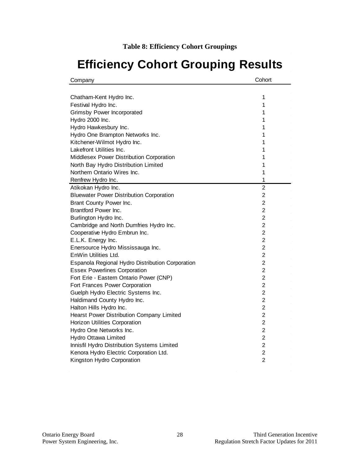# <span id="page-31-0"></span>**Efficiency Cohort Grouping Results**

| Company                                          | Cohort         |
|--------------------------------------------------|----------------|
|                                                  |                |
| Chatham-Kent Hydro Inc.                          | 1              |
| Festival Hydro Inc.                              | 1              |
| Grimsby Power Incorporated                       | 1              |
| Hydro 2000 Inc.                                  | 1              |
| Hydro Hawkesbury Inc.                            | 1              |
| Hydro One Brampton Networks Inc.                 | 1              |
| Kitchener-Wilmot Hydro Inc.                      | 1              |
| Lakefront Utilities Inc.                         | 1              |
| Middlesex Power Distribution Corporation         | 1              |
| North Bay Hydro Distribution Limited             | 1              |
| Northern Ontario Wires Inc.                      | 1              |
| Renfrew Hydro Inc.                               | 1              |
| Atikokan Hydro Inc.                              | $\overline{2}$ |
| <b>Bluewater Power Distribution Corporation</b>  | $\overline{2}$ |
| Brant County Power Inc.                          | $\overline{2}$ |
| Brantford Power Inc.                             | $\overline{2}$ |
| Burlington Hydro Inc.                            | $\overline{2}$ |
| Cambridge and North Dumfries Hydro Inc.          | $\overline{2}$ |
| Cooperative Hydro Embrun Inc.                    | $\overline{2}$ |
| E.L.K. Energy Inc.                               | $\overline{2}$ |
| Enersource Hydro Mississauga Inc.                | $\overline{2}$ |
| EnWin Utilities Ltd.                             | $\overline{2}$ |
| Espanola Regional Hydro Distribution Corporation | $\overline{2}$ |
| <b>Essex Powerlines Corporation</b>              | $\overline{2}$ |
| Fort Erie - Eastern Ontario Power (CNP)          | $\overline{2}$ |
| Fort Frances Power Corporation                   | $\overline{2}$ |
| Guelph Hydro Electric Systems Inc.               | $\overline{2}$ |
| Haldimand County Hydro Inc.                      | 2              |
| Halton Hills Hydro Inc.                          | $\overline{2}$ |
| Hearst Power Distribution Company Limited        | $\overline{2}$ |
| Horizon Utilities Corporation                    | $\overline{2}$ |
| Hydro One Networks Inc.                          | $\overline{2}$ |
| Hydro Ottawa Limited                             | $\overline{2}$ |
| Innisfil Hydro Distribution Systems Limited      | $\overline{2}$ |
| Kenora Hydro Electric Corporation Ltd.           | $\overline{2}$ |
| Kingston Hydro Corporation                       | $\overline{2}$ |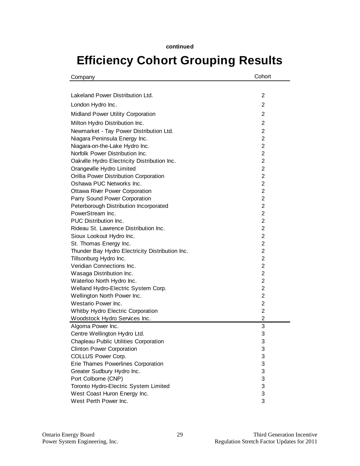# **Efficiency Cohort Grouping Results**

| Company                                         | Cohort         |
|-------------------------------------------------|----------------|
|                                                 |                |
| Lakeland Power Distribution Ltd.                | $\overline{2}$ |
| London Hydro Inc.                               | $\overline{2}$ |
| Midland Power Utility Corporation               | 2              |
|                                                 |                |
| Milton Hydro Distribution Inc.                  | $\overline{2}$ |
| Newmarket - Tay Power Distribution Ltd.         | $\overline{2}$ |
| Niagara Peninsula Energy Inc.                   | $\overline{2}$ |
| Niagara-on-the-Lake Hydro Inc.                  | $\overline{2}$ |
| Norfolk Power Distribution Inc.                 | $\overline{2}$ |
| Oakville Hydro Electricity Distribution Inc.    | $\overline{2}$ |
| Orangeville Hydro Limited                       | $\overline{2}$ |
| Orillia Power Distribution Corporation          | $\overline{2}$ |
| Oshawa PUC Networks Inc.                        | $\overline{2}$ |
| <b>Ottawa River Power Corporation</b>           | $\overline{2}$ |
| Parry Sound Power Corporation                   | $\overline{2}$ |
| Peterborough Distribution Incorporated          | $\overline{2}$ |
| PowerStream Inc.                                | $\overline{2}$ |
| PUC Distribution Inc.                           | $\overline{2}$ |
| Rideau St. Lawrence Distribution Inc.           | $\overline{2}$ |
| Sioux Lookout Hydro Inc.                        | $\overline{2}$ |
| St. Thomas Energy Inc.                          | $\overline{2}$ |
| Thunder Bay Hydro Electricity Distribution Inc. | $\overline{2}$ |
| Tillsonburg Hydro Inc.                          | $\overline{2}$ |
| Veridian Connections Inc.                       | $\overline{2}$ |
| Wasaga Distribution Inc.                        | 2              |
| Waterloo North Hydro Inc.                       | 2              |
| Welland Hydro-Electric System Corp.             | $\overline{2}$ |
| Wellington North Power Inc.                     | 2              |
| Westario Power Inc.                             | 2              |
| Whitby Hydro Electric Corporation               | $\overline{2}$ |
| Woodstock Hydro Services Inc.                   | 2              |
| Algoma Power Inc.                               | 3              |
| Centre Wellington Hydro Ltd.                    | 3              |
| Chapleau Public Utilities Corporation           | 3              |
| <b>Clinton Power Corporation</b>                | 3              |
| COLLUS Power Corp.                              | 3              |
| Erie Thames Powerlines Corporation              | 3              |
| Greater Sudbury Hydro Inc.                      | 3              |
| Port Colborne (CNP)                             | 3              |
| Toronto Hydro-Electric System Limited           | 3              |
| West Coast Huron Energy Inc.                    | 3              |
| West Perth Power Inc.                           | 3              |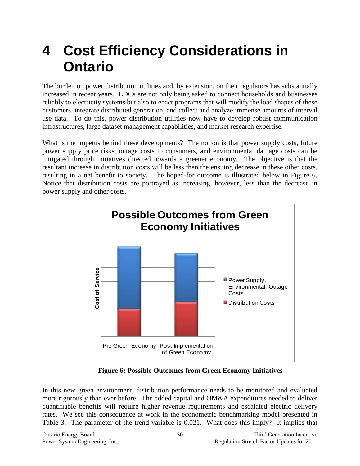# <span id="page-33-0"></span>**4 Cost Efficiency Considerations in Ontario**

The burden on power distribution utilities and, by extension, on their regulators has substantially increased in recent years. LDCs are not only being asked to connect households and businesses reliably to electricity systems but also to enact programs that will modify the load shapes of these customers, integrate distributed generation, and collect and analyze immense amounts of interval use data. To do this, power distribution utilities now have to develop robust communication infrastructures, large dataset management capabilities, and market research expertise.

What is the impetus behind these developments? The notion is that power supply costs, future power supply price risks, outage costs to consumers, and environmental damage costs can be mitigated through initiatives directed towards a greener economy. The objective is that the resultant increase in distribution costs will be less than the ensuing decrease in these other costs, resulting in a net benefit to society. The hoped-for outcome is illustrated below in Figure 6. Notice that distribution costs are portrayed as increasing, however, less than the decrease in power supply and other costs.



**Figure 6: Possible Outcomes from Green Economy Initiatives**

<span id="page-33-1"></span>In this new green environment, distribution performance needs to be monitored and evaluated more rigorously than ever before. The added capital and OM&A expenditures needed to deliver quantifiable benefits will require higher revenue requirements and escalated electric delivery rates. We see this consequence at work in the econometric benchmarking model presented in Table 3. The parameter of the trend variable is 0.021. What does this imply? It implies that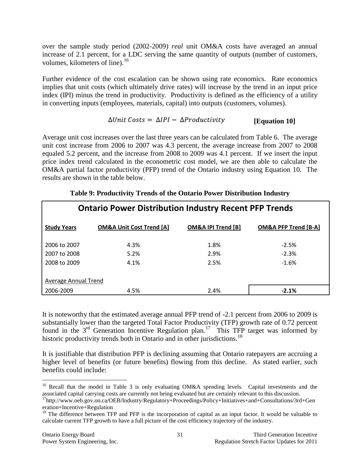over the sample study period (2002-2009) *real* unit OM&A costs have averaged an annual increase of 2.1 percent, for a LDC serving the same quantity of outputs (number of customers, volumes, kilometers of line).<sup>[16](#page-34-1)</sup>

Further evidence of the cost escalation can be shown using rate economics. Rate economics implies that unit costs (which ultimately drive rates) will increase by the trend in an input price index (IPI) minus the trend in productivity. Productivity is defined as the efficiency of a utility in converting inputs (employees, materials, capital) into outputs (customers, volumes).

#### $\Delta Unit \text{ Costs} = \Delta IPI - \Delta Productivity$ **[Equation 10]**

Average unit cost increases over the last three years can be calculated from Table 6. The average unit cost increase from 2006 to 2007 was 4.3 percent, the average increase from 2007 to 2008 equaled 5.2 percent, and the increase from 2008 to 2009 was 4.1 percent. If we insert the input price index trend calculated in the econometric cost model, we are then able to calculate the OM&A partial factor productivity (PFP) trend of the Ontario industry using Equation 10. The results are shown in the table below.

<span id="page-34-0"></span>

| <b>Ontario Power Distribution Industry Recent PFP Trends</b> |                                     |                               |                                 |  |  |  |
|--------------------------------------------------------------|-------------------------------------|-------------------------------|---------------------------------|--|--|--|
| <b>Study Years</b>                                           | <b>OM&amp;A Unit Cost Trend [A]</b> | <b>OM&amp;A IPI Trend [B]</b> | <b>OM&amp;A PFP Trend [B-A]</b> |  |  |  |
| 2006 to 2007                                                 | 4.3%                                | 1.8%                          | $-2.5%$                         |  |  |  |
| 2007 to 2008                                                 | 5.2%                                | 2.9%                          | $-2.3%$                         |  |  |  |
| 2008 to 2009                                                 | 4.1%                                | 2.5%                          | $-1.6%$                         |  |  |  |
| Average Annual Trend                                         |                                     |                               |                                 |  |  |  |
| 2006-2009                                                    | 4.5%                                | 2.4%                          | $-2.1%$                         |  |  |  |

### **Table 9: Productivity Trends of the Ontario Power Distribution Industry**

It is noteworthy that the estimated average annual PFP trend of -2.1 percent from 2006 to 2009 is substantially lower than the targeted Total Factor Productivity (TFP) growth rate of 0.72 percent found in the  $3<sup>rd</sup>$  Generation Incentive Regulation plan.<sup>17</sup> This TFP target was informed by historic productivity trends both in Ontario and in other jurisdictions.<sup>[18](#page-34-3)</sup>

It is justifiable that distribution PFP is declining assuming that Ontario ratepayers are accruing a higher level of benefits (or future benefits) flowing from this decline. As stated earlier, such benefits could include:

<span id="page-34-1"></span><sup>&</sup>lt;sup>16</sup> Recall that the model in Table 3 is only evaluating OM&A spending levels. Capital investments and the associated capital carrying costs are currently not being evaluated but are certainly relevant to this discussion.

<span id="page-34-2"></span><sup>&</sup>lt;sup>17</sup>http://www.oeb.gov.on.ca/OEB/Industry/Regulatory+Proceedings/Policy+Initiatives+and+Consultations/3rd+Gen eration+Incentive+Regulation

<span id="page-34-3"></span><sup>&</sup>lt;sup>18</sup> The difference between TFP and PFP is the incorporation of capital as an input factor. It would be valuable to calculate current TFP growth to have a full picture of the cost efficiency trajectory of the industry.